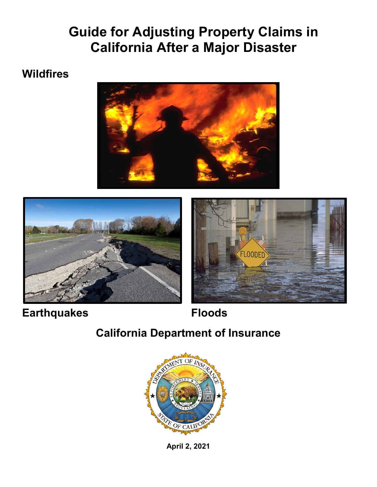# **Guide for Adjusting Property Claims in California After a Major Disaster**

## **Wildfires**







**Earthquakes Floods**

## **California Department of Insurance**



**April 2, 2021**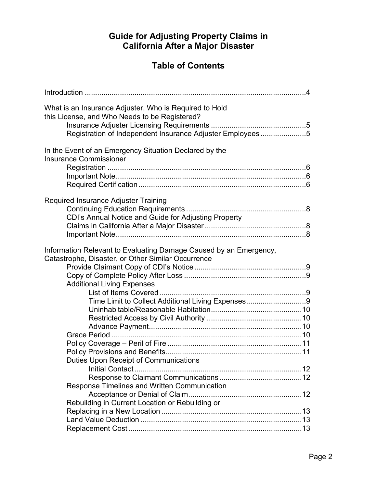## **Guide for Adjusting Property Claims in California After a Major Disaster**

## **Table of Contents**

| What is an Insurance Adjuster, Who is Required to Hold<br>this License, and Who Needs to be Registered?<br>Registration of Independent Insurance Adjuster Employees5 |  |
|----------------------------------------------------------------------------------------------------------------------------------------------------------------------|--|
| In the Event of an Emergency Situation Declared by the                                                                                                               |  |
| <b>Insurance Commissioner</b>                                                                                                                                        |  |
|                                                                                                                                                                      |  |
|                                                                                                                                                                      |  |
|                                                                                                                                                                      |  |
| <b>Required Insurance Adjuster Training</b>                                                                                                                          |  |
|                                                                                                                                                                      |  |
| CDI's Annual Notice and Guide for Adjusting Property                                                                                                                 |  |
|                                                                                                                                                                      |  |
|                                                                                                                                                                      |  |
| Information Relevant to Evaluating Damage Caused by an Emergency,<br>Catastrophe, Disaster, or Other Similar Occurrence                                              |  |
|                                                                                                                                                                      |  |
|                                                                                                                                                                      |  |
| <b>Additional Living Expenses</b>                                                                                                                                    |  |
|                                                                                                                                                                      |  |
| Time Limit to Collect Additional Living Expenses9                                                                                                                    |  |
|                                                                                                                                                                      |  |
|                                                                                                                                                                      |  |
|                                                                                                                                                                      |  |
|                                                                                                                                                                      |  |
|                                                                                                                                                                      |  |
| Duties Upon Receipt of Communications                                                                                                                                |  |
|                                                                                                                                                                      |  |
|                                                                                                                                                                      |  |
| <b>Response Timelines and Written Communication</b>                                                                                                                  |  |
|                                                                                                                                                                      |  |
| Rebuilding in Current Location or Rebuilding or                                                                                                                      |  |
|                                                                                                                                                                      |  |
|                                                                                                                                                                      |  |
|                                                                                                                                                                      |  |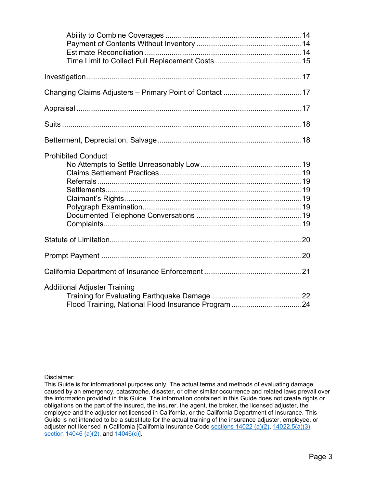| <b>Prohibited Conduct</b>           |  |
|-------------------------------------|--|
|                                     |  |
|                                     |  |
|                                     |  |
|                                     |  |
|                                     |  |
|                                     |  |
|                                     |  |
|                                     |  |
|                                     |  |
|                                     |  |
| <b>Additional Adjuster Training</b> |  |
|                                     |  |
|                                     |  |

Disclaimer:

This Guide is for informational purposes only. The actual terms and methods of evaluating damage caused by an emergency, catastrophe, disaster, or other similar occurrence and related laws prevail over the information provided in this Guide. The information contained in this Guide does not create rights or obligations on the part of the insured, the insurer, the agent, the broker, the licensed adjuster, the employee and the adjuster not licensed in California, or the California Department of Insurance. This Guide is not intended to be a substitute for the actual training of the insurance adjuster, employee, or adjuster not licensed in California [California Insurance Code [sections 14022 \(a\)\(2\),](http://leginfo.legislature.ca.gov/faces/codes_displaySection.xhtml?lawCode=INS§ionNum=14022.) [14022.5\(a\)\(3\),](http://leginfo.legislature.ca.gov/faces/codes_displaySection.xhtml?lawCode=INS§ionNum=14022.5.) [section 14046](http://leginfo.legislature.ca.gov/faces/codes_displaySection.xhtml?lawCode=INS§ionNum=14046.) (a)(2), and [14046\(](http://leginfo.legislature.ca.gov/faces/codes_displaySection.xhtml?lawCode=INS§ionNum=14046.)c)].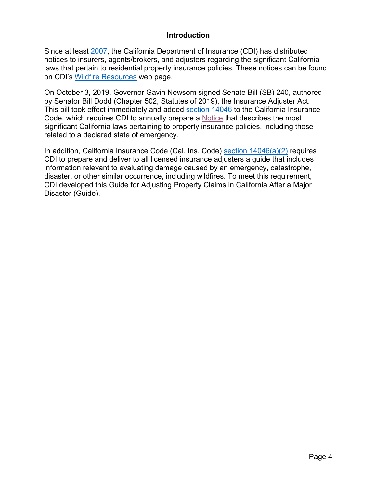#### **Introduction**

Since at least [2007,](http://www.insurance.ca.gov/0250-insurers/0300-insurers/0200-bulletins/bulletin-notices-commiss-opinion/upload/2007NewLawsNoticeCAWildfires-2.pdf) the California Department of Insurance (CDI) has distributed notices to insurers, agents/brokers, and adjusters regarding the significant California laws that pertain to residential property insurance policies. These notices can be found on CDI's [Wildfire Resources](http://www.insurance.ca.gov/01-consumers/140-catastrophes/WildfireResources.cfm) web page.

On October 3, 2019, Governor Gavin Newsom signed Senate Bill (SB) 240, authored by Senator Bill Dodd (Chapter 502, Statutes of 2019), the Insurance Adjuster Act. This bill took effect immediately and added [section 14046](http://leginfo.legislature.ca.gov/faces/codes_displaySection.xhtml?lawCode=INS§ionNum=14046.) to the California Insurance Code, which requires CDI to annually prepare a [Notice](http://www.insurance.ca.gov/0250-insurers/0300-insurers/0200-bulletins/bulletin-notices-commiss-opinion/upload/Significant_California_Laws_Pertaining_to_Residential_Property_Insurance_Policies-Declared_State_of_Emergency-2021-FINAL.pdf) that describes the most significant California laws pertaining to property insurance policies, including those related to a declared state of emergency.

In addition, California Insurance Code (Cal. Ins. Code) section  $14046(a)(2)$  requires CDI to prepare and deliver to all licensed insurance adjusters a guide that includes information relevant to evaluating damage caused by an emergency, catastrophe, disaster, or other similar occurrence, including wildfires. To meet this requirement, CDI developed this Guide for Adjusting Property Claims in California After a Major Disaster (Guide).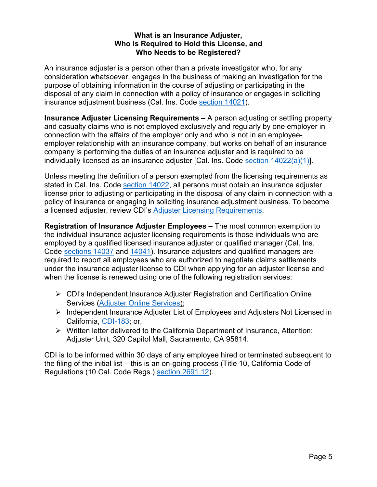#### **What is an Insurance Adjuster, Who is Required to Hold this License, and Who Needs to be Registered?**

An insurance adjuster is a person other than a private investigator who, for any consideration whatsoever, engages in the business of making an investigation for the purpose of obtaining information in the course of adjusting or participating in the disposal of any claim in connection with a policy of insurance or engages in soliciting insurance adjustment business (Cal. Ins. Code [section 14021\)](http://leginfo.legislature.ca.gov/faces/codes_displaySection.xhtml?lawCode=INS§ionNum=14021.).

**Insurance Adjuster Licensing Requirements –** A person adjusting or settling property and casualty claims who is not employed exclusively and regularly by one employer in connection with the affairs of the employer only and who is not in an employeeemployer relationship with an insurance company, but works on behalf of an insurance company is performing the duties of an insurance adjuster and is required to be individually licensed as an insurance adjuster [Cal. Ins. Code section  $14022(a)(1)$ ].

Unless meeting the definition of a person exempted from the licensing requirements as stated in Cal. Ins. Code [section 14022,](http://leginfo.legislature.ca.gov/faces/codes_displaySection.xhtml?lawCode=INS§ionNum=14022.) all persons must obtain an insurance adjuster license prior to adjusting or participating in the disposal of any claim in connection with a policy of insurance or engaging in soliciting insurance adjustment business. To become a licensed adjuster, review CDI's [Adjuster Licensing Requirements.](http://www.insurance.ca.gov/0200-industry/0050-renew-license/0200-requirements/insurance-adjuster.cfm)

**Registration of Insurance Adjuster Employees –** The most common exemption to the individual insurance adjuster licensing requirements is those individuals who are employed by a qualified licensed insurance adjuster or qualified manager (Cal. Ins. Code [sections](http://leginfo.legislature.ca.gov/faces/codes_displaySection.xhtml?lawCode=INS§ionNum=14037.) 14037 and [14041\)](http://leginfo.legislature.ca.gov/faces/codes_displaySection.xhtml?lawCode=INS§ionNum=14041.). Insurance adjusters and qualified managers are required to report all employees who are authorized to negotiate claims settlements under the insurance adjuster license to CDI when applying for an adjuster license and when the license is renewed using one of the following registration services:

- CDI's Independent Insurance Adjuster Registration and Certification Online Services (Adjuster Online [Services\)](https://interactive.web.insurance.ca.gov/apex_extprd/f?p=205:999);
- $\triangleright$  Independent Insurance Adjuster List of Employees and Adjusters Not Licensed in California, [CDI-183;](http://www.insurance.ca.gov/0200-industry/0040-seek-producer-forms/0100-broker-agents/upload/FormCDI183.pdf) or,
- $\triangleright$  Written letter delivered to the California Department of Insurance, Attention: Adjuster Unit, 320 Capitol Mall, Sacramento, CA 95814.

CDI is to be informed within 30 days of any employee hired or terminated subsequent to the filing of the initial list – this is an on-going process (Title 10, California Code of Regulations (10 Cal. Code Regs.) [section 2691.12\)](https://govt.westlaw.com/calregs/Document/IF51751B00FCE11DF9A13C3ABA6273B68?viewType=FullText&listSource=Search&originationContext=Search+Result&transitionType=SearchItem&contextData=(sc.Search)&navigationPath=Search%2fv1%2fresults%2fnavigation%2fi0ad62d2c0000016f59342eb382cf0f1c%3fNav%3dREGULATION_PUBLICVIEW%26fragmentIdentifier%3dIF51751B00FCE11DF9A13C3ABA6273B68%26startIndex%3d1%26transitionType%3dSearchItem%26contextData%3d%2528sc.Default%2529%26originationContext%3dSearch%2520Result&list=REGULATION_PUBLICVIEW&rank=1&t_T1=10&t_T2=2691.12&t_S1=CA+ADC+s).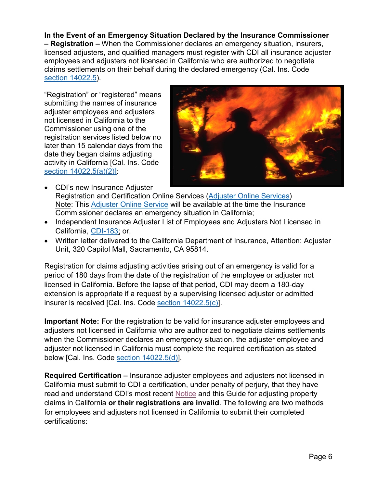## **In the Event of an Emergency Situation Declared by the Insurance Commissioner**

**– Registration –** When the Commissioner declares an emergency situation, insurers, licensed adjusters, and qualified managers must register with CDI all insurance adjuster employees and adjusters not licensed in California who are authorized to negotiate claims settlements on their behalf during the declared emergency (Cal. Ins. Code section [14022.5\)](http://leginfo.legislature.ca.gov/faces/codes_displaySection.xhtml?lawCode=INS§ionNum=14022.5.).

"Registration" or "registered" means submitting the names of insurance adjuster employees and adjusters not licensed in California to the Commissioner using one of the registration services listed below no later than 15 calendar days from the date they began claims adjusting activity in California [Cal. Ins. Code section [14022.5\(a\)\(2\)\]](http://leginfo.legislature.ca.gov/faces/codes_displaySection.xhtml?lawCode=INS§ionNum=14022.5.):



- CDI's new Insurance Adjuster Registration and Certification Online Services (Adjuster Online [Services\)](https://interactive.web.insurance.ca.gov/apex_extprd/f?p=205:999) Note: This [Adjuster](https://interactive.web.insurance.ca.gov/apex_extprd/f?p=205:999) Online Service will be available at the time the Insurance Commissioner declares an emergency situation in California;
- Independent Insurance Adjuster List of Employees and Adjusters Not Licensed in California, [CDI-183;](http://www.insurance.ca.gov/0200-industry/0040-seek-producer-forms/0100-broker-agents/upload/FormCDI183.pdf) or,
- Written letter delivered to the California Department of Insurance, Attention: Adjuster Unit, 320 Capitol Mall, Sacramento, CA 95814.

Registration for claims adjusting activities arising out of an emergency is valid for a period of 180 days from the date of the registration of the employee or adjuster not licensed in California. Before the lapse of that period, CDI may deem a 180-day extension is appropriate if a request by a supervising licensed adjuster or admitted insurer is received [Cal. Ins. Code section [14022.5\(c\)\]](http://leginfo.legislature.ca.gov/faces/codes_displaySection.xhtml?lawCode=INS§ionNum=14022.5.).

**Important Note:** For the registration to be valid for insurance adjuster employees and adjusters not licensed in California who are authorized to negotiate claims settlements when the Commissioner declares an emergency situation, the adjuster employee and adjuster not licensed in California must complete the required certification as stated below [Cal. Ins. Code section [14022.5\(d\)\]](http://leginfo.legislature.ca.gov/faces/codes_displaySection.xhtml?lawCode=INS§ionNum=14022.5.).

**Required Certification –** Insurance adjuster employees and adjusters not licensed in California must submit to CDI a certification, under penalty of perjury, that they have read and understand CDI's most recent [Notice](http://www.insurance.ca.gov/0250-insurers/0300-insurers/0200-bulletins/bulletin-notices-commiss-opinion/upload/Significant_California_Laws_Pertaining_to_Residential_Property_Insurance_Policies-Declared_State_of_Emergency-2021-FINAL.pdf) and this Guide for adjusting property claims in California **or their registrations are invalid**. The following are two methods for employees and adjusters not licensed in California to submit their completed certifications: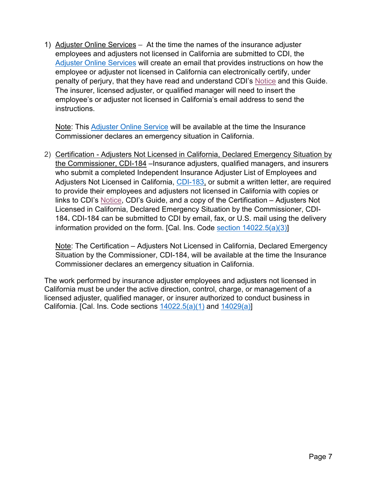1) [Adjuster Online Services](https://interactive.web.insurance.ca.gov/apex_extprd/f?p=205:999) – At the time the names of the insurance adjuster employees and adjusters not licensed in California are submitted to CDI, the Adjuster Online [Services](https://interactive.web.insurance.ca.gov/apex_extprd/f?p=205:999) will create an email that provides instructions on how the employee or adjuster not licensed in California can electronically certify, under penalty of perjury, that they have read and understand CDI's [Notice](http://www.insurance.ca.gov/0250-insurers/0300-insurers/0200-bulletins/bulletin-notices-commiss-opinion/upload/Significant_California_Laws_Pertaining_to_Residential_Property_Insurance_Policies-Declared_State_of_Emergency-2021-FINAL.pdf) and this Guide. The insurer, licensed adjuster, or qualified manager will need to insert the employee's or adjuster not licensed in California's email address to send the instructions.

Note: This [Adjuster](https://interactive.web.insurance.ca.gov/apex_extprd/f?p=205:999) Online Service will be available at the time the Insurance Commissioner declares an emergency situation in California.

2) Certification - Adjusters Not Licensed in California, Declared Emergency Situation by the Commissioner, CDI-184 –Insurance adjusters, qualified managers, and insurers who submit a completed Independent Insurance Adjuster List of Employees and Adjusters Not Licensed in California, [CDI-183,](http://www.insurance.ca.gov/0200-industry/0040-seek-producer-forms/0100-broker-agents/upload/FormCDI183.pdf) or submit a written letter, are required to provide their employees and adjusters not licensed in California with copies or links to CDI's [Notice,](http://www.insurance.ca.gov/0250-insurers/0300-insurers/0200-bulletins/bulletin-notices-commiss-opinion/upload/Significant_California_Laws_Pertaining_to_Residential_Property_Insurance_Policies-Declared_State_of_Emergency-2021-FINAL.pdf) CDI's Guide, and a copy of the Certification – Adjusters Not Licensed in California, Declared Emergency Situation by the Commissioner, CDI-184**.** CDI-184 can be submitted to CDI by email, fax, or U.S. mail using the delivery information provided on the form. [Cal. Ins. Code section [14022.5\(a\)\(3\)\]](http://leginfo.legislature.ca.gov/faces/codes_displaySection.xhtml?lawCode=INS§ionNum=14022.5.)

Note: The Certification – Adjusters Not Licensed in California, Declared Emergency Situation by the Commissioner, CDI-184, will be available at the time the Insurance Commissioner declares an emergency situation in California.

The work performed by insurance adjuster employees and adjusters not licensed in California must be under the active direction, control, charge, or management of a licensed adjuster, qualified manager, or insurer authorized to conduct business in California. [Cal. Ins. Code sections  $14022.5(a)(1)$  and  $14029(a)$ ]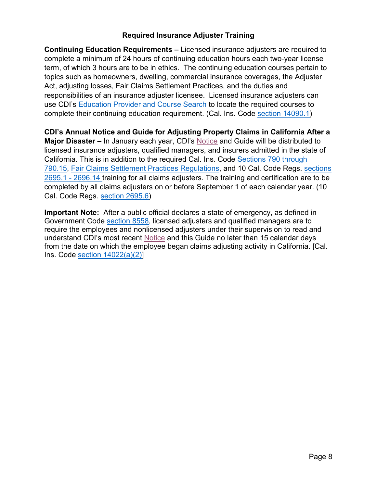## **Required Insurance Adjuster Training**

**Continuing Education Requirements –** Licensed insurance adjusters are required to complete a minimum of 24 hours of continuing education hours each two-year license term, of which 3 hours are to be in ethics. The continuing education courses pertain to topics such as homeowners, dwelling, commercial insurance coverages, the Adjuster Act, adjusting losses, Fair Claims Settlement Practices, and the duties and responsibilities of an insurance adjuster licensee. Licensed insurance adjusters can use CDI's [Education Provider and Course Search](https://interactive.web.insurance.ca.gov/providercourselookup/index.jsp) to locate the required courses to complete their continuing education requirement. (Cal. Ins. Code [section 14090.1\)](http://leginfo.legislature.ca.gov/faces/codes_displaySection.xhtml?lawCode=INS§ionNum=14090.1.)

**CDI's Annual Notice and Guide for Adjusting Property Claims in California After a Major Disaster –** In January each year, CDI's [Notice](http://www.insurance.ca.gov/0250-insurers/0300-insurers/0200-bulletins/bulletin-notices-commiss-opinion/upload/Significant_California_Laws_Pertaining_to_Residential_Property_Insurance_Policies-Declared_State_of_Emergency-2021-FINAL.pdf) and Guide will be distributed to licensed insurance adjusters, qualified managers, and insurers admitted in the state of California. This is in addition to the required Cal. Ins. Code [Sections 790 through](https://leginfo.legislature.ca.gov/faces/codes_displayText.xhtml?lawCode=INS&division=1.&title=&part=2.&chapter=1.&article=6.5.)  [790.15,](https://leginfo.legislature.ca.gov/faces/codes_displayText.xhtml?lawCode=INS&division=1.&title=&part=2.&chapter=1.&article=6.5.) [Fair Claims Settlement Practices Regulations,](http://www.insurance.ca.gov/01-consumers/130-laws-regs-hearings/05-CCR/fair-claims-regs.cfm) and 10 Cal. Code Regs. [sections](http://www.insurance.ca.gov/01-consumers/130-laws-regs-hearings/05-CCR/fair-claims-regs.cfm)  [2695.1 - 2696.14](http://www.insurance.ca.gov/01-consumers/130-laws-regs-hearings/05-CCR/fair-claims-regs.cfm) training for all claims adjusters. The training and certification are to be completed by all claims adjusters on or before September 1 of each calendar year. (10 Cal. Code Regs. [section 2695.6\)](https://govt.westlaw.com/calregs/Document/IBFBCF8C0D49211DEBC02831C6D6C108E?viewType=FullText&listSource=Search&list=REGULATION_PUBLICVIEW&rank=6&grading=na&originationContext=previousnextdocument&transitionType=SearchItem&contextData=(sc.Default)&navigationPath=Search%2fv1%2fresults%2fnavigation%2fi0ad62d330000016b707b92d1f8296788%3fNav%3dREGULATION_PUBLICVIEW%26fragmentIdentifier%3dIDD5DD2006A9C11DFB847F76A5579CA98%26startIndex%3d1%26contextData%3d%2528sc.Default%2529%26transitionType%3dSearchItem&t_T1=10&t_T2=2695&t_S1=CA+ADC+s#co_term_773)

**Important Note:** After a public official declares a state of emergency, as defined in Government Code [section 8558,](http://leginfo.legislature.ca.gov/faces/codes_displaySection.xhtml?lawCode=GOV§ionNum=8558.) licensed adjusters and qualified managers are to require the employees and nonlicensed adjusters under their supervision to read and understand CDI's most recent [Notice](http://www.insurance.ca.gov/0250-insurers/0300-insurers/0200-bulletins/bulletin-notices-commiss-opinion/upload/Significant_California_Laws_Pertaining_to_Residential_Property_Insurance_Policies-Declared_State_of_Emergency-2021-FINAL.pdf) and this Guide no later than 15 calendar days from the date on which the employee began claims adjusting activity in California. [Cal. Ins. Code section  $14022(a)(2)$ ]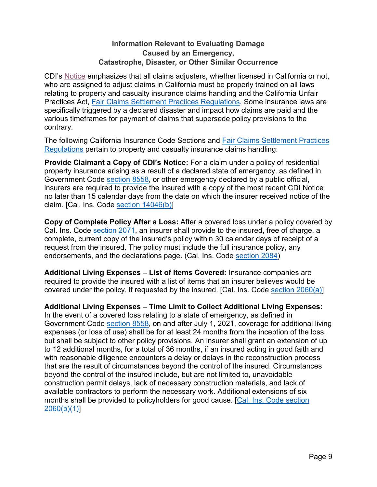#### **Information Relevant to Evaluating Damage Caused by an Emergency, Catastrophe, Disaster, or Other Similar Occurrence**

CDI's [Notice](http://www.insurance.ca.gov/0250-insurers/0300-insurers/0200-bulletins/bulletin-notices-commiss-opinion/upload/Significant_California_Laws_Pertaining_to_Residential_Property_Insurance_Policies-Declared_State_of_Emergency-2021-FINAL.pdf) emphasizes that all claims adjusters, whether licensed in California or not, who are assigned to adjust claims in California must be properly trained on all laws relating to property and casualty insurance claims handling and the California Unfair Practices Act, [Fair Claims Settlement Practices Regulations.](http://www.insurance.ca.gov/01-consumers/130-laws-regs-hearings/05-CCR/fair-claims-regs.cfm) Some insurance laws are specifically triggered by a declared disaster and impact how claims are paid and the various timeframes for payment of claims that supersede policy provisions to the contrary.

The following California Insurance Code Sections and [Fair Claims Settlement Practices](http://www.insurance.ca.gov/01-consumers/130-laws-regs-hearings/05-CCR/fair-claims-regs.cfm)  [Regulations](http://www.insurance.ca.gov/01-consumers/130-laws-regs-hearings/05-CCR/fair-claims-regs.cfm) pertain to property and casualty insurance claims handling:

**Provide Claimant a Copy of CDI's Notice:** For a claim under a policy of residential property insurance arising as a result of a declared state of emergency, as defined in Government Code [section 8558,](http://leginfo.legislature.ca.gov/faces/codes_displaySection.xhtml?lawCode=GOV§ionNum=8558.) or other emergency declared by a public official, insurers are required to provide the insured with a copy of the most recent CDI Notice no later than 15 calendar days from the date on which the insurer received notice of the claim. [Cal. Ins. Code section [14046\(b\)\]](http://leginfo.legislature.ca.gov/faces/codes_displaySection.xhtml?lawCode=INS§ionNum=14046.)

**Copy of Complete Policy After a Loss:** After a covered loss under a policy covered by Cal. Ins. Code [section 2071,](http://leginfo.legislature.ca.gov/faces/codes_displaySection.xhtml?lawCode=INS§ionNum=2071.) an insurer shall provide to the insured, free of charge, a complete, current copy of the insured's policy within 30 calendar days of receipt of a request from the insured. The policy must include the full insurance policy, any endorsements, and the declarations page. (Cal. Ins. Code [section 2084\)](http://leginfo.legislature.ca.gov/faces/codes_displaySection.xhtml?lawCode=INS§ionNum=2084.)

**Additional Living Expenses – List of Items Covered:** Insurance companies are required to provide the insured with a list of items that an insurer believes would be covered under the policy, if requested by the insured. [Cal. Ins. Code section  $2060(a)$ ]

**Additional Living Expenses – Time Limit to Collect Additional Living Expenses:**  In the event of a covered loss relating to a state of emergency, as defined in Government Code [section 8558,](https://leginfo.legislature.ca.gov/faces/codes_displaySection.xhtml?lawCode=GOV§ionNum=8558.) on and after July 1, 2021, coverage for additional living expenses (or loss of use) shall be for at least 24 months from the inception of the loss, but shall be subject to other policy provisions. An insurer shall grant an extension of up to 12 additional months, for a total of 36 months, if an insured acting in good faith and with reasonable diligence encounters a delay or delays in the reconstruction process that are the result of circumstances beyond the control of the insured. Circumstances beyond the control of the insured include, but are not limited to, unavoidable construction permit delays, lack of necessary construction materials, and lack of available contractors to perform the necessary work. Additional extensions of six months shall be provided to policyholders for good cause. [Cal. Ins. Code section  $2060(b)(1)$ ]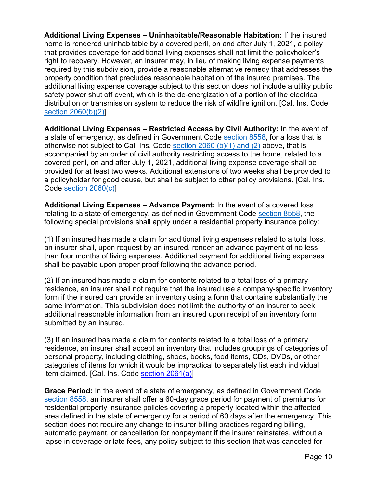**Additional Living Expenses – Uninhabitable/Reasonable Habitation:** If the insured home is rendered uninhabitable by a covered peril, on and after July 1, 2021, a policy that provides coverage for additional living expenses shall not limit the policyholder's right to recovery. However, an insurer may, in lieu of making living expense payments required by this subdivision, provide a reasonable alternative remedy that addresses the property condition that precludes reasonable habitation of the insured premises. The additional living expense coverage subject to this section does not include a utility public safety power shut off event, which is the de-energization of a portion of the electrical distribution or transmission system to reduce the risk of wildfire ignition. [Cal. Ins. Code [section 2060\(b\)\(2\)\]](https://leginfo.legislature.ca.gov/faces/codes_displaySection.xhtml?lawCode=INS§ionNum=2060.)

**Additional Living Expenses – Restricted Access by Civil Authority:** In the event of a state of emergency, as defined in Government Code [section 8558,](https://leginfo.legislature.ca.gov/faces/codes_displaySection.xhtml?lawCode=GOV§ionNum=8558.) for a loss that is otherwise not subject to Cal. Ins. Code [section 2060 \(b\)\(1\) and \(2\)](https://leginfo.legislature.ca.gov/faces/codes_displaySection.xhtml?lawCode=INS§ionNum=2060.) above, that is accompanied by an order of civil authority restricting access to the home, related to a covered peril, on and after July 1, 2021, additional living expense coverage shall be provided for at least two weeks. Additional extensions of two weeks shall be provided to a policyholder for good cause, but shall be subject to other policy provisions. [Cal. Ins. Code [section 2060\(c\)\]](http://leginfo.legislature.ca.gov/faces/codes_displaySection.xhtml?lawCode=INS§ionNum=2060.)

**Additional Living Expenses – Advance Payment:** In the event of a covered loss relating to a state of emergency, as defined in Government Code [section](https://leginfo.legislature.ca.gov/faces/codes_displaySection.xhtml?lawCode=GOV§ionNum=8558.) 8558, the following special provisions shall apply under a residential property insurance policy:

(1) If an insured has made a claim for additional living expenses related to a total loss, an insurer shall, upon request by an insured, render an advance payment of no less than four months of living expenses. Additional payment for additional living expenses shall be payable upon proper proof following the advance period.

(2) If an insured has made a claim for contents related to a total loss of a primary residence, an insurer shall not require that the insured use a company-specific inventory form if the insured can provide an inventory using a form that contains substantially the same information. This subdivision does not limit the authority of an insurer to seek additional reasonable information from an insured upon receipt of an inventory form submitted by an insured.

(3) If an insured has made a claim for contents related to a total loss of a primary residence, an insurer shall accept an inventory that includes groupings of categories of personal property, including clothing, shoes, books, food items, CDs, DVDs, or other categories of items for which it would be impractical to separately list each individual item claimed. [Cal. Ins. Code section [2061\(a\)\]](http://leginfo.legislature.ca.gov/faces/codes_displaySection.xhtml?lawCode=INS§ionNum=2061.)

**Grace Period:** In the event of a state of emergency, as defined in Government Code [section](https://leginfo.legislature.ca.gov/faces/codes_displaySection.xhtml?lawCode=GOV§ionNum=8558.) 8558, an insurer shall offer a 60-day grace period for payment of premiums for residential property insurance policies covering a property located within the affected area defined in the state of emergency for a period of 60 days after the emergency. This section does not require any change to insurer billing practices regarding billing, automatic payment, or cancellation for nonpayment if the insurer reinstates, without a lapse in coverage or late fees, any policy subject to this section that was canceled for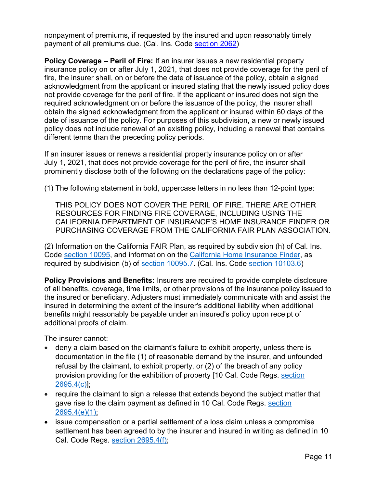nonpayment of premiums, if requested by the insured and upon reasonably timely payment of all premiums due. (Cal. Ins. Code [section](http://leginfo.legislature.ca.gov/faces/codes_displaySection.xhtml?lawCode=INS§ionNum=2062.) 2062)

**Policy Coverage – Peril of Fire:** If an insurer issues a new residential property insurance policy on or after July 1, 2021, that does not provide coverage for the peril of fire, the insurer shall, on or before the date of issuance of the policy, obtain a signed acknowledgment from the applicant or insured stating that the newly issued policy does not provide coverage for the peril of fire. If the applicant or insured does not sign the required acknowledgment on or before the issuance of the policy, the insurer shall obtain the signed acknowledgment from the applicant or insured within 60 days of the date of issuance of the policy. For purposes of this subdivision, a new or newly issued policy does not include renewal of an existing policy, including a renewal that contains different terms than the preceding policy periods.

If an insurer issues or renews a residential property insurance policy on or after July 1, 2021, that does not provide coverage for the peril of fire, the insurer shall prominently disclose both of the following on the declarations page of the policy:

(1) The following statement in bold, uppercase letters in no less than 12-point type:

THIS POLICY DOES NOT COVER THE PERIL OF FIRE. THERE ARE OTHER RESOURCES FOR FINDING FIRE COVERAGE, INCLUDING USING THE CALIFORNIA DEPARTMENT OF INSURANCE'S HOME INSURANCE FINDER OR PURCHASING COVERAGE FROM THE CALIFORNIA FAIR PLAN ASSOCIATION.

(2) Information on the California FAIR Plan, as required by subdivision (h) of Cal. Ins. Code [section](https://leginfo.legislature.ca.gov/faces/codes_displaySection.xhtml?lawCode=INS§ionNum=10095.7.) 10095, and information on the California Home [Insurance](https://interactive.web.insurance.ca.gov/apex_extprd/f?p=400:50) Finder, as required by subdivision (b) of section 10095.7 (Cal. Ins. Code section [10103.6\)](https://leginfo.legislature.ca.gov/faces/codes_displaySection.xhtml?lawCode=INS§ionNum=10103.6.)

**Policy Provisions and Benefits:** Insurers are required to provide complete disclosure of all benefits, coverage, time limits, or other provisions of the insurance policy issued to the insured or beneficiary. Adjusters must immediately communicate with and assist the insured in determining the extent of the insurer's additional liability when additional benefits might reasonably be payable under an insured's policy upon receipt of additional proofs of claim.

The insurer cannot:

- deny a claim based on the claimant's failure to exhibit property, unless there is documentation in the file (1) of reasonable demand by the insurer, and unfounded refusal by the claimant, to exhibit property, or (2) of the breach of any policy provision providing for the exhibition of property [10 Cal. Code Regs. section [2695.4\(](https://govt.westlaw.com/calregs/Document/IBF2C7890D49211DEBC02831C6D6C108E?viewType=FullText&listSource=Search&originationContext=Search+Result&transitionType=SearchItem&contextData=(sc.Search)&navigationPath=Search%2fv1%2fresults%2fnavigation%2fi0ad720f10000016f14676cc6155daa16%3fNav%3dREGULATION_PUBLICVIEW%26fragmentIdentifier%3dIBF2C7890D49211DEBC02831C6D6C108E%26startIndex%3d1%26transitionType%3dSearchItem%26contextData%3d%2528sc.Default%2529%26originationContext%3dSearch%2520Result&list=REGULATION_PUBLICVIEW&rank=1&t_T1=10&t_T2=2695.4&t_S1=CA+ADC+s)c)];
- require the claimant to sign a release that extends beyond the subject matter that gave rise to the claim payment as defined in 10 Cal. Code Regs. [section](https://govt.westlaw.com/calregs/Document/IBF2C7890D49211DEBC02831C6D6C108E?viewType=FullText&listSource=Search&originationContext=Search+Result&transitionType=SearchItem&contextData=(sc.Search)&navigationPath=Search%2fv1%2fresults%2fnavigation%2fi0ad720f10000016f14676cc6155daa16%3fNav%3dREGULATION_PUBLICVIEW%26fragmentIdentifier%3dIBF2C7890D49211DEBC02831C6D6C108E%26startIndex%3d1%26transitionType%3dSearchItem%26contextData%3d%2528sc.Default%2529%26originationContext%3dSearch%2520Result&list=REGULATION_PUBLICVIEW&rank=1&t_T1=10&t_T2=2695.4&t_S1=CA+ADC+s)   $2695.4(e)(1)$  $2695.4(e)(1)$ ;
- issue compensation or a partial settlement of a loss claim unless a compromise settlement has been agreed to by the insurer and insured in writing as defined in 10 Cal. Code Regs. [section 2695.4\(](https://govt.westlaw.com/calregs/Document/IBF2C7890D49211DEBC02831C6D6C108E?viewType=FullText&listSource=Search&originationContext=Search+Result&transitionType=SearchItem&contextData=(sc.Search)&navigationPath=Search%2fv1%2fresults%2fnavigation%2fi0ad720f10000016f14676cc6155daa16%3fNav%3dREGULATION_PUBLICVIEW%26fragmentIdentifier%3dIBF2C7890D49211DEBC02831C6D6C108E%26startIndex%3d1%26transitionType%3dSearchItem%26contextData%3d%2528sc.Default%2529%26originationContext%3dSearch%2520Result&list=REGULATION_PUBLICVIEW&rank=1&t_T1=10&t_T2=2695.4&t_S1=CA+ADC+s)f);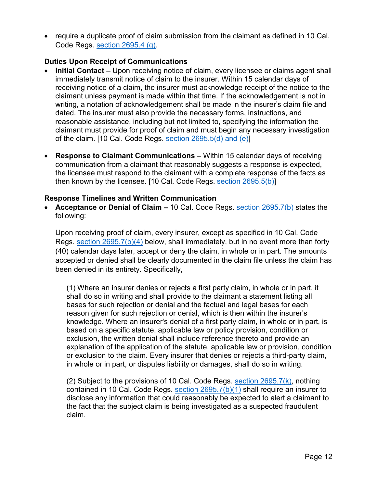• require a duplicate proof of claim submission from the claimant as defined in 10 Cal. Code Regs. [section 2695.4](https://govt.westlaw.com/calregs/Document/IBF2C7890D49211DEBC02831C6D6C108E?viewType=FullText&listSource=Search&originationContext=Search+Result&transitionType=SearchItem&contextData=(sc.Search)&navigationPath=Search%2fv1%2fresults%2fnavigation%2fi0ad720f10000016f14676cc6155daa16%3fNav%3dREGULATION_PUBLICVIEW%26fragmentIdentifier%3dIBF2C7890D49211DEBC02831C6D6C108E%26startIndex%3d1%26transitionType%3dSearchItem%26contextData%3d%2528sc.Default%2529%26originationContext%3dSearch%2520Result&list=REGULATION_PUBLICVIEW&rank=1&t_T1=10&t_T2=2695.4&t_S1=CA+ADC+s) (g).

#### **Duties Upon Receipt of Communications**

- **Initial Contact –** Upon receiving notice of claim, every licensee or claims agent shall immediately transmit notice of claim to the insurer. Within 15 calendar days of receiving notice of a claim, the insurer must acknowledge receipt of the notice to the claimant unless payment is made within that time. If the acknowledgement is not in writing, a notation of acknowledgement shall be made in the insurer's claim file and dated. The insurer must also provide the necessary forms, instructions, and reasonable assistance, including but not limited to, specifying the information the claimant must provide for proof of claim and must begin any necessary investigation of the claim. [10 Cal. Code Regs. section  $2695.5(d)$  and  $(e)$ ]
- **Response to Claimant Communications** Within 15 calendar days of receiving communication from a claimant that reasonably suggests a response is expected, the licensee must respond to the claimant with a complete response of the facts as then known by the licensee. [10 Cal. Code Regs. [section 2695.5\(b\)\]](https://govt.westlaw.com/calregs/Document/IBF8239B0D49211DEBC02831C6D6C108E?viewType=FullText&listSource=Search&originationContext=Search+Result&transitionType=SearchItem&contextData=(sc.Search)&navigationPath=Search%2fv1%2fresults%2fnavigation%2fi0ad720f20000016f14622693fbb02d4b%3fNav%3dREGULATION_PUBLICVIEW%26fragmentIdentifier%3dIBF8239B0D49211DEBC02831C6D6C108E%26startIndex%3d1%26transitionType%3dSearchItem%26contextData%3d%2528sc.Default%2529%26originationContext%3dSearch%2520Result&list=REGULATION_PUBLICVIEW&rank=1&t_T1=10&t_T2=2695.5&t_S1=CA+ADC+s)

#### **Response Timelines and Written Communication**

• **Acceptance or Denial of Claim –** 10 Cal. Code Regs. [section 2695.7\(b\)](https://govt.westlaw.com/calregs/Document/IC03B7790D49211DEBC02831C6D6C108E?viewType=FullText&listSource=Search&originationContext=Search+Result&transitionType=SearchItem&contextData=(sc.Search)&navigationPath=Search%2fv1%2fresults%2fnavigation%2fi0ad7140a0000016f5766faa0df73d0de%3fNav%3dREGULATION_PUBLICVIEW%26fragmentIdentifier%3dIC03B7790D49211DEBC02831C6D6C108E%26startIndex%3d1%26transitionType%3dSearchItem%26contextData%3d%2528sc.Default%2529%26originationContext%3dSearch%2520Result&list=REGULATION_PUBLICVIEW&rank=1&t_T1=10&t_T2=2695.7&t_S1=CA+ADC+s) states the following:

Upon receiving proof of claim, every insurer, except as specified in 10 Cal. Code Regs. [section 2695.7\(b\)\(4\)](https://govt.westlaw.com/calregs/Document/IC03B7790D49211DEBC02831C6D6C108E?viewType=FullText&listSource=Search&originationContext=Search+Result&transitionType=SearchItem&contextData=(sc.Search)&navigationPath=Search%2fv1%2fresults%2fnavigation%2fi0ad7140a0000016f5766faa0df73d0de%3fNav%3dREGULATION_PUBLICVIEW%26fragmentIdentifier%3dIC03B7790D49211DEBC02831C6D6C108E%26startIndex%3d1%26transitionType%3dSearchItem%26contextData%3d%2528sc.Default%2529%26originationContext%3dSearch%2520Result&list=REGULATION_PUBLICVIEW&rank=1&t_T1=10&t_T2=2695.7&t_S1=CA+ADC+s) below, shall immediately, but in no event more than forty (40) calendar days later, accept or deny the claim, in whole or in part. The amounts accepted or denied shall be clearly documented in the claim file unless the claim has been denied in its entirety. Specifically,

(1) Where an insurer denies or rejects a first party claim, in whole or in part, it shall do so in writing and shall provide to the claimant a statement listing all bases for such rejection or denial and the factual and legal bases for each reason given for such rejection or denial, which is then within the insurer's knowledge. Where an insurer's denial of a first party claim, in whole or in part, is based on a specific statute, applicable law or policy provision, condition or exclusion, the written denial shall include reference thereto and provide an explanation of the application of the statute, applicable law or provision, condition or exclusion to the claim. Every insurer that denies or rejects a third-party claim, in whole or in part, or disputes liability or damages, shall do so in writing.

(2) Subject to the provisions of 10 Cal. Code Regs. section  $2695.7(k)$ , nothing contained in 10 Cal. Code Regs. [section 2695.7\(b\)\(1\)](https://govt.westlaw.com/calregs/Document/IC03B7790D49211DEBC02831C6D6C108E?viewType=FullText&listSource=Search&originationContext=Search+Result&transitionType=SearchItem&contextData=(sc.Search)&navigationPath=Search%2fv1%2fresults%2fnavigation%2fi0ad7140a0000016f5766faa0df73d0de%3fNav%3dREGULATION_PUBLICVIEW%26fragmentIdentifier%3dIC03B7790D49211DEBC02831C6D6C108E%26startIndex%3d1%26transitionType%3dSearchItem%26contextData%3d%2528sc.Default%2529%26originationContext%3dSearch%2520Result&list=REGULATION_PUBLICVIEW&rank=1&t_T1=10&t_T2=2695.7&t_S1=CA+ADC+s&bhcp=1) shall require an insurer to disclose any information that could reasonably be expected to alert a claimant to the fact that the subject claim is being investigated as a suspected fraudulent claim.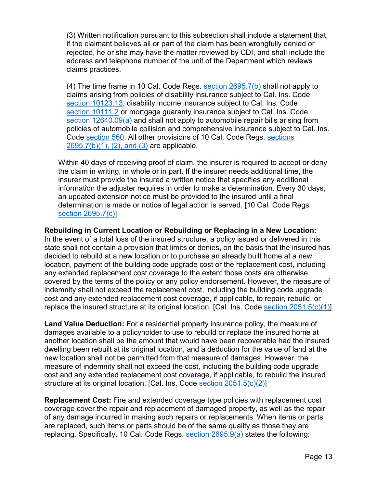(3) Written notification pursuant to this subsection shall include a statement that, if the claimant believes all or part of the claim has been wrongfully denied or rejected, he or she may have the matter reviewed by CDI, and shall include the address and telephone number of the unit of the Department which reviews claims practices.

(4) The time frame in 10 Cal. Code Regs. [section 2695.7\(b\)](https://govt.westlaw.com/calregs/Document/IC03B7790D49211DEBC02831C6D6C108E?viewType=FullText&listSource=Search&originationContext=Search+Result&transitionType=SearchItem&contextData=(sc.Search)&navigationPath=Search%2fv1%2fresults%2fnavigation%2fi0ad7140a0000016f5766faa0df73d0de%3fNav%3dREGULATION_PUBLICVIEW%26fragmentIdentifier%3dIC03B7790D49211DEBC02831C6D6C108E%26startIndex%3d1%26transitionType%3dSearchItem%26contextData%3d%2528sc.Default%2529%26originationContext%3dSearch%2520Result&list=REGULATION_PUBLICVIEW&rank=1&t_T1=10&t_T2=2695.7&t_S1=CA+ADC+s&bhcp=1) shall not apply to claims arising from policies of disability insurance subject to Cal. Ins. Code [section 10123.13,](http://leginfo.legislature.ca.gov/faces/codes_displaySection.xhtml?lawCode=INS§ionNum=10123.13.) disability income insurance subject to Cal. Ins. Code [section 10111.2](http://leginfo.legislature.ca.gov/faces/codes_displaySection.xhtml?lawCode=INS§ionNum=10111.2.) or mortgage guaranty insurance subject to Cal. Ins. Code [section 12640.09\(a\)](http://leginfo.legislature.ca.gov/faces/codes_displaySection.xhtml?lawCode=INS§ionNum=12640.09.) and shall not apply to automobile repair bills arising from policies of automobile collision and comprehensive insurance subject to Cal. Ins. Code [section 560.](http://leginfo.legislature.ca.gov/faces/codes_displayText.xhtml?lawCode=INS&division=1.&title=&part=1.&chapter=6.&article=4.) All other provisions of 10 Cal. Code Regs. [sections](https://govt.westlaw.com/calregs/Document/IC03B7790D49211DEBC02831C6D6C108E?viewType=FullText&listSource=Search&originationContext=Search+Result&transitionType=SearchItem&contextData=(sc.Search)&navigationPath=Search%2fv1%2fresults%2fnavigation%2fi0ad7140a0000016f5766faa0df73d0de%3fNav%3dREGULATION_PUBLICVIEW%26fragmentIdentifier%3dIC03B7790D49211DEBC02831C6D6C108E%26startIndex%3d1%26transitionType%3dSearchItem%26contextData%3d%2528sc.Default%2529%26originationContext%3dSearch%2520Result&list=REGULATION_PUBLICVIEW&rank=1&t_T1=10&t_T2=2695.7&t_S1=CA+ADC+s&bhcp=1)  [2695.7\(b\)\(1\), \(2\), and \(3\)](https://govt.westlaw.com/calregs/Document/IC03B7790D49211DEBC02831C6D6C108E?viewType=FullText&listSource=Search&originationContext=Search+Result&transitionType=SearchItem&contextData=(sc.Search)&navigationPath=Search%2fv1%2fresults%2fnavigation%2fi0ad7140a0000016f5766faa0df73d0de%3fNav%3dREGULATION_PUBLICVIEW%26fragmentIdentifier%3dIC03B7790D49211DEBC02831C6D6C108E%26startIndex%3d1%26transitionType%3dSearchItem%26contextData%3d%2528sc.Default%2529%26originationContext%3dSearch%2520Result&list=REGULATION_PUBLICVIEW&rank=1&t_T1=10&t_T2=2695.7&t_S1=CA+ADC+s&bhcp=1) are applicable.

Within 40 days of receiving proof of claim, the insurer is required to accept or deny the claim in writing, in whole or in part**.** If the insurer needs additional time, the insurer must provide the insured a written notice that specifies any additional information the adjuster requires in order to make a determination. Every 30 days, an updated extension notice must be provided to the insured until a final determination is made or notice of legal action is served. [10 Cal. Code Regs. [section 2695.7\(c\)\]](https://govt.westlaw.com/calregs/Document/IC03B7790D49211DEBC02831C6D6C108E?viewType=FullText&listSource=Search&originationContext=Search+Result&transitionType=SearchItem&contextData=(sc.Search)&navigationPath=Search%2fv1%2fresults%2fnavigation%2fi0ad720f10000016f1462b733155da9bb%3fNav%3dREGULATION_PUBLICVIEW%26fragmentIdentifier%3dIC03B7790D49211DEBC02831C6D6C108E%26startIndex%3d1%26transitionType%3dSearchItem%26contextData%3d%2528sc.Default%2529%26originationContext%3dSearch%2520Result&list=REGULATION_PUBLICVIEW&rank=1&t_T1=10&t_T2=2695.7&t_S1=CA+ADC+s)

#### **Rebuilding in Current Location or Rebuilding or Replacing in a New Location:**

In the event of a total loss of the insured structure, a policy issued or delivered in this state shall not contain a provision that limits or denies, on the basis that the insured has decided to rebuild at a new location or to purchase an already built home at a new location, payment of the building code upgrade cost or the replacement cost, including any extended replacement cost coverage to the extent those costs are otherwise covered by the terms of the policy or any policy endorsement. However, the measure of indemnity shall not exceed the replacement cost, including the building code upgrade cost and any extended replacement cost coverage, if applicable, to repair, rebuild, or replace the insured structure at its original location. [Cal. Ins. Code section  $2051.5(c)(1)$ ]

**Land Value Deduction:** For a residential property insurance policy, the measure of damages available to a policyholder to use to rebuild or replace the insured home at another location shall be the amount that would have been recoverable had the insured dwelling been rebuilt at its original location, and a deduction for the value of land at the new location shall not be permitted from that measure of damages. However, the measure of indemnity shall not exceed the cost, including the building code upgrade cost and any extended replacement cost coverage, if applicable, to rebuild the insured structure at its original location. [Cal. Ins. Code [section 2051.5\(c\)\(2\)\]](https://leginfo.legislature.ca.gov/faces/codes_displaySection.xhtml?lawCode=INS§ionNum=2051.5.)

**Replacement Cost:** Fire and extended coverage type policies with replacement cost coverage cover the repair and replacement of damaged property, as well as the repair of any damage incurred in making such repairs or replacements. When items or parts are replaced, such items or parts should be of the same quality as those they are replacing. Specifically, 10 Cal. Code Regs. [section 2695.9\(](https://govt.westlaw.com/calregs/Document/IC13A7100D49211DEBC02831C6D6C108E?viewType=FullText&listSource=Search&originationContext=Search+Result&transitionType=SearchItem&contextData=(sc.Search)&navigationPath=Search%2fv1%2fresults%2fnavigation%2fi0ad720f10000016f1455b299155da8e6%3fNav%3dREGULATION_PUBLICVIEW%26fragmentIdentifier%3dIC13A7100D49211DEBC02831C6D6C108E%26startIndex%3d1%26transitionType%3dSearchItem%26contextData%3d%2528sc.Default%2529%26originationContext%3dSearch%2520Result&list=REGULATION_PUBLICVIEW&rank=1&t_T1=10&t_T2=2695.9&t_S1=CA+ADC+s)a) states the following: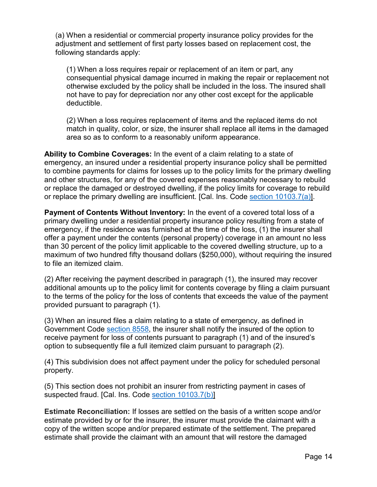(a) When a residential or commercial property insurance policy provides for the adjustment and settlement of first party losses based on replacement cost, the following standards apply:

(1) When a loss requires repair or replacement of an item or part, any consequential physical damage incurred in making the repair or replacement not otherwise excluded by the policy shall be included in the loss. The insured shall not have to pay for depreciation nor any other cost except for the applicable deductible.

(2) When a loss requires replacement of items and the replaced items do not match in quality, color, or size, the insurer shall replace all items in the damaged area so as to conform to a reasonably uniform appearance.

**Ability to Combine Coverages:** In the event of a claim relating to a state of emergency, an insured under a residential property insurance policy shall be permitted to combine payments for claims for losses up to the policy limits for the primary dwelling and other structures, for any of the covered expenses reasonably necessary to rebuild or replace the damaged or destroyed dwelling, if the policy limits for coverage to rebuild or replace the primary dwelling are insufficient. [Cal. Ins. Code [section 10103.7\(](http://leginfo.legislature.ca.gov/faces/codes_displaySection.xhtml?lawCode=INS§ionNum=10103.7.)a)].

**Payment of Contents Without Inventory:** In the event of a covered total loss of a primary dwelling under a residential property insurance policy resulting from a state of emergency, if the residence was furnished at the time of the loss, (1) the insurer shall offer a payment under the contents (personal property) coverage in an amount no less than 30 percent of the policy limit applicable to the covered dwelling structure, up to a maximum of two hundred fifty thousand dollars (\$250,000), without requiring the insured to file an itemized claim.

(2) After receiving the payment described in paragraph (1), the insured may recover additional amounts up to the policy limit for contents coverage by filing a claim pursuant to the terms of the policy for the loss of contents that exceeds the value of the payment provided pursuant to paragraph (1).

(3) When an insured files a claim relating to a state of emergency, as defined in Government Code [section 8558,](https://leginfo.legislature.ca.gov/faces/codes_displaySection.xhtml?lawCode=GOV§ionNum=8558.) the insurer shall notify the insured of the option to receive payment for loss of contents pursuant to paragraph (1) and of the insured's option to subsequently file a full itemized claim pursuant to paragraph (2).

(4) This subdivision does not affect payment under the policy for scheduled personal property.

(5) This section does not prohibit an insurer from restricting payment in cases of suspected fraud. [Cal. Ins. Code [section 10103.7\(](http://leginfo.legislature.ca.gov/faces/codes_displaySection.xhtml?lawCode=INS§ionNum=10103.7.)b)]

**Estimate Reconciliation:** If losses are settled on the basis of a written scope and/or estimate provided by or for the insurer, the insurer must provide the claimant with a copy of the written scope and/or prepared estimate of the settlement. The prepared estimate shall provide the claimant with an amount that will restore the damaged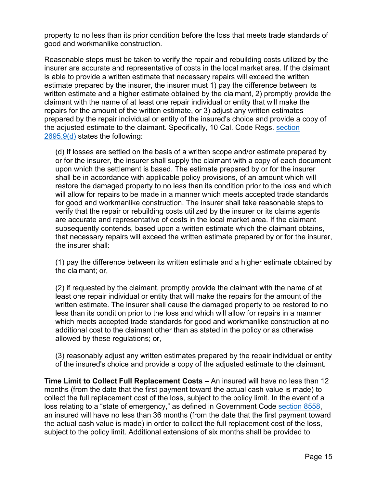property to no less than its prior condition before the loss that meets trade standards of good and workmanlike construction.

Reasonable steps must be taken to verify the repair and rebuilding costs utilized by the insurer are accurate and representative of costs in the local market area. If the claimant is able to provide a written estimate that necessary repairs will exceed the written estimate prepared by the insurer, the insurer must 1) pay the difference between its written estimate and a higher estimate obtained by the claimant, 2) promptly provide the claimant with the name of at least one repair individual or entity that will make the repairs for the amount of the written estimate, or 3) adjust any written estimates prepared by the repair individual or entity of the insured's choice and provide a copy of the adjusted estimate to the claimant. Specifically, 10 Cal. Code Regs. [section](https://govt.westlaw.com/calregs/Document/IC13A7100D49211DEBC02831C6D6C108E?viewType=FullText&listSource=Search&originationContext=Search+Result&transitionType=SearchItem&contextData=(sc.Search)&navigationPath=Search%2fv1%2fresults%2fnavigation%2fi0ad720f20000016f146cfce3fbb02e05%3fNav%3dREGULATION_PUBLICVIEW%26fragmentIdentifier%3dIC13A7100D49211DEBC02831C6D6C108E%26startIndex%3d1%26transitionType%3dSearchItem%26contextData%3d%2528sc.Default%2529%26originationContext%3dSearch%2520Result&list=REGULATION_PUBLICVIEW&rank=1&t_T1=10&t_T2=2695.9&t_S1=CA+ADC+s)  [2695.9\(d\)](https://govt.westlaw.com/calregs/Document/IC13A7100D49211DEBC02831C6D6C108E?viewType=FullText&listSource=Search&originationContext=Search+Result&transitionType=SearchItem&contextData=(sc.Search)&navigationPath=Search%2fv1%2fresults%2fnavigation%2fi0ad720f20000016f146cfce3fbb02e05%3fNav%3dREGULATION_PUBLICVIEW%26fragmentIdentifier%3dIC13A7100D49211DEBC02831C6D6C108E%26startIndex%3d1%26transitionType%3dSearchItem%26contextData%3d%2528sc.Default%2529%26originationContext%3dSearch%2520Result&list=REGULATION_PUBLICVIEW&rank=1&t_T1=10&t_T2=2695.9&t_S1=CA+ADC+s) states the following:

(d) If losses are settled on the basis of a written scope and/or estimate prepared by or for the insurer, the insurer shall supply the claimant with a copy of each document upon which the settlement is based. The estimate prepared by or for the insurer shall be in accordance with applicable policy provisions, of an amount which will restore the damaged property to no less than its condition prior to the loss and which will allow for repairs to be made in a manner which meets accepted trade standards for good and workmanlike construction. The insurer shall take reasonable steps to verify that the repair or rebuilding costs utilized by the insurer or its claims agents are accurate and representative of costs in the local market area. If the claimant subsequently contends, based upon a written estimate which the claimant obtains, that necessary repairs will exceed the written estimate prepared by or for the insurer, the insurer shall:

(1) pay the difference between its written estimate and a higher estimate obtained by the claimant; or,

(2) if requested by the claimant, promptly provide the claimant with the name of at least one repair individual or entity that will make the repairs for the amount of the written estimate. The insurer shall cause the damaged property to be restored to no less than its condition prior to the loss and which will allow for repairs in a manner which meets accepted trade standards for good and workmanlike construction at no additional cost to the claimant other than as stated in the policy or as otherwise allowed by these regulations; or,

(3) reasonably adjust any written estimates prepared by the repair individual or entity of the insured's choice and provide a copy of the adjusted estimate to the claimant.

**Time Limit to Collect Full Replacement Costs –** An insured will have no less than 12 months (from the date that the first payment toward the actual cash value is made) to collect the full replacement cost of the loss, subject to the policy limit. In the event of a loss relating to a "state of emergency," as defined in Government Code [section 8558,](http://leginfo.legislature.ca.gov/faces/codes_displaySection.xhtml?lawCode=GOV§ionNum=8558.) an insured will have no less than 36 months (from the date that the first payment toward the actual cash value is made) in order to collect the full replacement cost of the loss, subject to the policy limit. Additional extensions of six months shall be provided to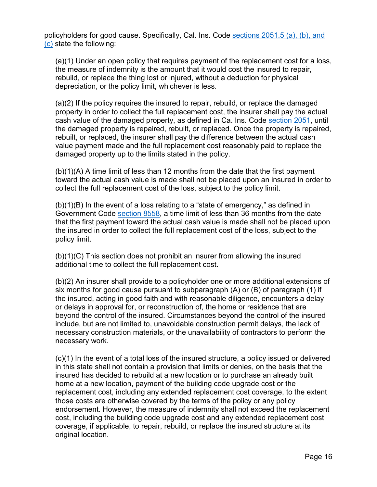policyholders for good cause. Specifically, Cal. Ins. Code [sections 2051.5 \(a\), \(b\), and](http://leginfo.legislature.ca.gov/faces/codes_displaySection.xhtml?lawCode=INS§ionNum=2051.5.)  [\(c\)](http://leginfo.legislature.ca.gov/faces/codes_displaySection.xhtml?lawCode=INS§ionNum=2051.5.) state the following:

(a)(1) Under an open policy that requires payment of the replacement cost for a loss, the measure of indemnity is the amount that it would cost the insured to repair, rebuild, or replace the thing lost or injured, without a deduction for physical depreciation, or the policy limit, whichever is less.

(a)(2) If the policy requires the insured to repair, rebuild, or replace the damaged property in order to collect the full replacement cost, the insurer shall pay the actual cash value of the damaged property, as defined in Ca. Ins. Code [section 2051,](http://leginfo.legislature.ca.gov/faces/codes_displaySection.xhtml?lawCode=INS§ionNum=2051.) until the damaged property is repaired, rebuilt, or replaced. Once the property is repaired, rebuilt, or replaced, the insurer shall pay the difference between the actual cash value payment made and the full replacement cost reasonably paid to replace the damaged property up to the limits stated in the policy.

(b)(1)(A) A time limit of less than 12 months from the date that the first payment toward the actual cash value is made shall not be placed upon an insured in order to collect the full replacement cost of the loss, subject to the policy limit.

(b)(1)(B) In the event of a loss relating to a "state of emergency," as defined in Government Code [section 8558,](http://leginfo.legislature.ca.gov/faces/codes_displaySection.xhtml?lawCode=GOV§ionNum=8558.) a time limit of less than 36 months from the date that the first payment toward the actual cash value is made shall not be placed upon the insured in order to collect the full replacement cost of the loss, subject to the policy limit.

(b)(1)(C) This section does not prohibit an insurer from allowing the insured additional time to collect the full replacement cost.

(b)(2) An insurer shall provide to a policyholder one or more additional extensions of six months for good cause pursuant to subparagraph (A) or (B) of paragraph (1) if the insured, acting in good faith and with reasonable diligence, encounters a delay or delays in approval for, or reconstruction of, the home or residence that are beyond the control of the insured. Circumstances beyond the control of the insured include, but are not limited to, unavoidable construction permit delays, the lack of necessary construction materials, or the unavailability of contractors to perform the necessary work.

(c)(1) In the event of a total loss of the insured structure, a policy issued or delivered in this state shall not contain a provision that limits or denies, on the basis that the insured has decided to rebuild at a new location or to purchase an already built home at a new location, payment of the building code upgrade cost or the replacement cost, including any extended replacement cost coverage, to the extent those costs are otherwise covered by the terms of the policy or any policy endorsement. However, the measure of indemnity shall not exceed the replacement cost, including the building code upgrade cost and any extended replacement cost coverage, if applicable, to repair, rebuild, or replace the insured structure at its original location.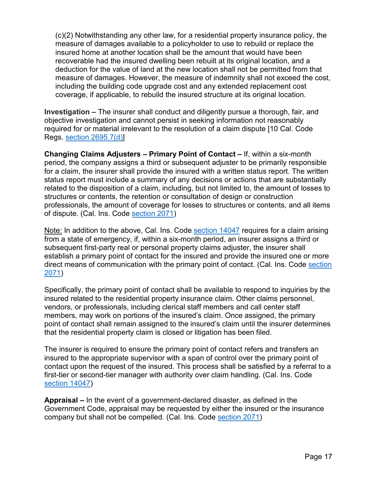(c)(2) Notwithstanding any other law, for a residential property insurance policy, the measure of damages available to a policyholder to use to rebuild or replace the insured home at another location shall be the amount that would have been recoverable had the insured dwelling been rebuilt at its original location, and a deduction for the value of land at the new location shall not be permitted from that measure of damages. However, the measure of indemnity shall not exceed the cost, including the building code upgrade cost and any extended replacement cost coverage, if applicable, to rebuild the insured structure at its original location.

**Investigation –** The insurer shall conduct and diligently pursue a thorough, fair, and objective investigation and cannot persist in seeking information not reasonably required for or material irrelevant to the resolution of a claim dispute [10 Cal. Code Regs. [section 2695.7\(d\)\]](https://govt.westlaw.com/calregs/Document/IC03B7790D49211DEBC02831C6D6C108E?viewType=FullText&listSource=Search&originationContext=Search+Result&transitionType=SearchItem&contextData=(sc.Search)&navigationPath=Search%2fv1%2fresults%2fnavigation%2fi0ad720f10000016f145b8dbd155da944%3fNav%3dREGULATION_PUBLICVIEW%26fragmentIdentifier%3dIC03B7790D49211DEBC02831C6D6C108E%26startIndex%3d1%26transitionType%3dSearchItem%26contextData%3d%2528sc.Default%2529%26originationContext%3dSearch%2520Result&list=REGULATION_PUBLICVIEW&rank=1&t_T1=10&t_T2=2695.7&t_S1=CA+ADC+s)

**Changing Claims Adjusters – Primary Point of Contact –** If, within a six-month period, the company assigns a third or subsequent adjuster to be primarily responsible for a claim, the insurer shall provide the insured with a written status report. The written status report must include a summary of any decisions or actions that are substantially related to the disposition of a claim, including, but not limited to, the amount of losses to structures or contents, the retention or consultation of design or construction professionals, the amount of coverage for losses to structures or contents, and all items of dispute. (Cal. Ins. Code [section 2071\)](http://leginfo.legislature.ca.gov/faces/codes_displaySection.xhtml?lawCode=INS§ionNum=2071.)

Note: In addition to the above, Cal. Ins. Code [section 14047](http://leginfo.legislature.ca.gov/faces/codes_displaySection.xhtml?lawCode=INS§ionNum=14047.) requires for a claim arising from a state of emergency, if, within a six-month period, an insurer assigns a third or subsequent first-party real or personal property claims adjuster, the insurer shall establish a primary point of contact for the insured and provide the insured one or more direct means of communication with the primary point of contact. (Cal. Ins. Code [section](http://leginfo.legislature.ca.gov/faces/codes_displaySection.xhtml?lawCode=INS§ionNum=2071.)  [2071\)](http://leginfo.legislature.ca.gov/faces/codes_displaySection.xhtml?lawCode=INS§ionNum=2071.)

Specifically, the primary point of contact shall be available to respond to inquiries by the insured related to the residential property insurance claim. Other claims personnel, vendors, or professionals, including clerical staff members and call center staff members, may work on portions of the insured's claim. Once assigned, the primary point of contact shall remain assigned to the insured's claim until the insurer determines that the residential property claim is closed or litigation has been filed.

The insurer is required to ensure the primary point of contact refers and transfers an insured to the appropriate supervisor with a span of control over the primary point of contact upon the request of the insured. This process shall be satisfied by a referral to a first-tier or second-tier manager with authority over claim handling. (Cal. Ins. Code [section 14047\)](http://leginfo.legislature.ca.gov/faces/codes_displaySection.xhtml?lawCode=INS§ionNum=14047.)

**Appraisal –** In the event of a government-declared disaster, as defined in the Government Code, appraisal may be requested by either the insured or the insurance company but shall not be compelled. (Cal. Ins. Code [section 2071\)](http://leginfo.legislature.ca.gov/faces/codes_displaySection.xhtml?lawCode=INS§ionNum=2071.)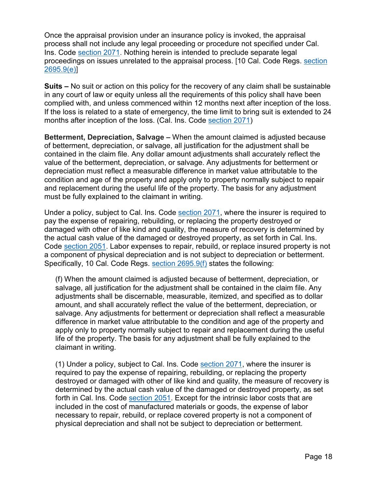Once the appraisal provision under an insurance policy is invoked, the appraisal process shall not include any legal proceeding or procedure not specified under Cal. Ins. Code [section 2071.](http://leginfo.legislature.ca.gov/faces/codes_displaySection.xhtml?lawCode=INS§ionNum=2071.) Nothing herein is intended to preclude separate legal proceedings on issues unrelated to the appraisal process. [10 Cal. Code Regs. [section](https://govt.westlaw.com/calregs/Document/IC13A7100D49211DEBC02831C6D6C108E?viewType=FullText&listSource=Search&originationContext=Search+Result&transitionType=SearchItem&contextData=(sc.Search)&navigationPath=Search%2fv1%2fresults%2fnavigation%2fi0ad7140a0000016f8652c6d1df75d1a0%3fNav%3dREGULATION_PUBLICVIEW%26fragmentIdentifier%3dIC13A7100D49211DEBC02831C6D6C108E%26startIndex%3d1%26transitionType%3dSearchItem%26contextData%3d%2528sc.Default%2529%26originationContext%3dSearch%2520Result&list=REGULATION_PUBLICVIEW&rank=1&t_T2=2695.9&t_S1=CA+ADC+s)  [2695.9\(e\)\]](https://govt.westlaw.com/calregs/Document/IC13A7100D49211DEBC02831C6D6C108E?viewType=FullText&listSource=Search&originationContext=Search+Result&transitionType=SearchItem&contextData=(sc.Search)&navigationPath=Search%2fv1%2fresults%2fnavigation%2fi0ad7140a0000016f8652c6d1df75d1a0%3fNav%3dREGULATION_PUBLICVIEW%26fragmentIdentifier%3dIC13A7100D49211DEBC02831C6D6C108E%26startIndex%3d1%26transitionType%3dSearchItem%26contextData%3d%2528sc.Default%2529%26originationContext%3dSearch%2520Result&list=REGULATION_PUBLICVIEW&rank=1&t_T2=2695.9&t_S1=CA+ADC+s)

**Suits –** No suit or action on this policy for the recovery of any claim shall be sustainable in any court of law or equity unless all the requirements of this policy shall have been complied with, and unless commenced within 12 months next after inception of the loss. If the loss is related to a state of emergency, the time limit to bring suit is extended to 24 months after inception of the loss. (Cal. Ins. Code [section 2071\)](http://leginfo.legislature.ca.gov/faces/codes_displaySection.xhtml?lawCode=INS§ionNum=2071.)

**Betterment, Depreciation, Salvage –** When the amount claimed is adjusted because of betterment, depreciation, or salvage, all justification for the adjustment shall be contained in the claim file. Any dollar amount adjustments shall accurately reflect the value of the betterment, depreciation, or salvage. Any adjustments for betterment or depreciation must reflect a measurable difference in market value attributable to the condition and age of the property and apply only to property normally subject to repair and replacement during the useful life of the property. The basis for any adjustment must be fully explained to the claimant in writing.

Under a policy, subject to Cal. Ins. Code [section 2071,](http://leginfo.legislature.ca.gov/faces/codes_displaySection.xhtml?lawCode=INS§ionNum=2071.) where the insurer is required to pay the expense of repairing, rebuilding, or replacing the property destroyed or damaged with other of like kind and quality, the measure of recovery is determined by the actual cash value of the damaged or destroyed property, as set forth in Cal. Ins. Code [section 2051.](http://leginfo.legislature.ca.gov/faces/codes_displaySection.xhtml?lawCode=INS§ionNum=2051.) Labor expenses to repair, rebuild, or replace insured property is not a component of physical depreciation and is not subject to depreciation or betterment. Specifically, 10 Cal. Code Regs. [section 2695.9\(f\)](https://govt.westlaw.com/calregs/Document/IC13A7100D49211DEBC02831C6D6C108E?viewType=FullText&listSource=Search&originationContext=Search+Result&transitionType=SearchItem&contextData=(sc.Search)&navigationPath=Search%2fv1%2fresults%2fnavigation%2fi0ad720f20000016f14655859fbb02d72%3fNav%3dREGULATION_PUBLICVIEW%26fragmentIdentifier%3dIC13A7100D49211DEBC02831C6D6C108E%26startIndex%3d1%26transitionType%3dSearchItem%26contextData%3d%2528sc.Default%2529%26originationContext%3dSearch%2520Result&list=REGULATION_PUBLICVIEW&rank=1&t_T1=10&t_T2=2695.9&t_S1=CA+ADC+s) states the following:

(f) When the amount claimed is adjusted because of betterment, depreciation, or salvage, all justification for the adjustment shall be contained in the claim file. Any adjustments shall be discernable, measurable, itemized, and specified as to dollar amount, and shall accurately reflect the value of the betterment, depreciation, or salvage. Any adjustments for betterment or depreciation shall reflect a measurable difference in market value attributable to the condition and age of the property and apply only to property normally subject to repair and replacement during the useful life of the property. The basis for any adjustment shall be fully explained to the claimant in writing.

(1) Under a policy, subject to Cal. Ins. Code [section 2071,](http://leginfo.legislature.ca.gov/faces/codes_displaySection.xhtml?lawCode=INS§ionNum=2071.) where the insurer is required to pay the expense of repairing, rebuilding, or replacing the property destroyed or damaged with other of like kind and quality, the measure of recovery is determined by the actual cash value of the damaged or destroyed property, as set forth in Cal. Ins. Code [section 2051.](http://leginfo.legislature.ca.gov/faces/codes_displaySection.xhtml?lawCode=INS§ionNum=2051.) Except for the intrinsic labor costs that are included in the cost of manufactured materials or goods, the expense of labor necessary to repair, rebuild, or replace covered property is not a component of physical depreciation and shall not be subject to depreciation or betterment.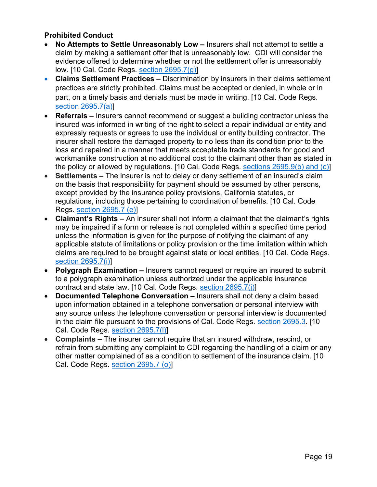## **Prohibited Conduct**

- **No Attempts to Settle Unreasonably Low** Insurers shall not attempt to settle a claim by making a settlement offer that is unreasonably low. CDI will consider the evidence offered to determine whether or not the settlement offer is unreasonably low. [10 Cal. Code Regs. [section 2695.7\(g\)\]](https://govt.westlaw.com/calregs/Document/IC03B7790D49211DEBC02831C6D6C108E?viewType=FullText&listSource=Search&originationContext=Search+Result&transitionType=SearchItem&contextData=(sc.Search)&navigationPath=Search%2fv1%2fresults%2fnavigation%2fi0ad720f20000016f144f21d8fbb02c0a%3fNav%3dREGULATION_PUBLICVIEW%26fragmentIdentifier%3dIC03B7790D49211DEBC02831C6D6C108E%26startIndex%3d1%26transitionType%3dSearchItem%26contextData%3d%2528sc.Default%2529%26originationContext%3dSearch%2520Result&list=REGULATION_PUBLICVIEW&rank=1&t_T1=10&t_T2=2695.7&t_S1=CA+ADC+s)
- **Claims Settlement Practices –** Discrimination by insurers in their claims settlement practices are strictly prohibited. Claims must be accepted or denied, in whole or in part, on a timely basis and denials must be made in writing. [10 Cal. Code Regs. [section 2695.7\(a\)\]](https://govt.westlaw.com/calregs/Document/IC03B7790D49211DEBC02831C6D6C108E?viewType=FullText&listSource=Search&originationContext=Search+Result&transitionType=SearchItem&contextData=(sc.Search)&navigationPath=Search%2fv1%2fresults%2fnavigation%2fi0ad720f20000016f144f21d8fbb02c0a%3fNav%3dREGULATION_PUBLICVIEW%26fragmentIdentifier%3dIC03B7790D49211DEBC02831C6D6C108E%26startIndex%3d1%26transitionType%3dSearchItem%26contextData%3d%2528sc.Default%2529%26originationContext%3dSearch%2520Result&list=REGULATION_PUBLICVIEW&rank=1&t_T1=10&t_T2=2695.7&t_S1=CA+ADC+shttps://govt.westlaw.com/calregs/Document/IC03B7790D49211DEBC02831C6D6C108E?viewType=FullText&listSource=Search&originationContext=Search+Result&transitionType=SearchItem&contextData=(sc.Search)&navigationPath=Search%2fv1%2fresults%2fnavigation%2fi0ad720f20000016f144f21d8fbb02c0a%3fNav%3dREGULATION_PUBLICVIEW%26fragmentIdentifier%3dIC03B7790D49211DEBC02831C6D6C108E%26startIndex%3d1%26transitionType%3dSearchItem%26contextData%3d%2528sc.Default%2529%26originationContext%3dSearch%2520Result&list=REGULATION_PUBLICVIEW&rank=1&t_T1=10&t_T2=2695.7&t_S1=CA+ADC+s)
- **Referrals** Insurers cannot recommend or suggest a building contractor unless the insured was informed in writing of the right to select a repair individual or entity and expressly requests or agrees to use the individual or entity building contractor. The insurer shall restore the damaged property to no less than its condition prior to the loss and repaired in a manner that meets acceptable trade standards for good and workmanlike construction at no additional cost to the claimant other than as stated in the policy or allowed by regulations. [10 Cal. Code Regs. [sections 2695.9\(b\) and \(c\)\]](https://govt.westlaw.com/calregs/Document/IC13A7100D49211DEBC02831C6D6C108E?viewType=FullText&listSource=Search&originationContext=Search+Result&transitionType=SearchItem&contextData=(sc.Search)&navigationPath=Search%2fv1%2fresults%2fnavigation%2fi0ad720f10000016f1455b299155da8e6%3fNav%3dREGULATION_PUBLICVIEW%26fragmentIdentifier%3dIC13A7100D49211DEBC02831C6D6C108E%26startIndex%3d1%26transitionType%3dSearchItem%26contextData%3d%2528sc.Default%2529%26originationContext%3dSearch%2520Result&list=REGULATION_PUBLICVIEW&rank=1&t_T1=10&t_T2=2695.9&t_S1=CA+ADC+s)
- **Settlements** The insurer is not to delay or deny settlement of an insured's claim on the basis that responsibility for payment should be assumed by other persons, except provided by the insurance policy provisions, California statutes, or regulations, including those pertaining to coordination of benefits. [10 Cal. Code Regs. [section 2695.7 \(e\)\]](https://govt.westlaw.com/calregs/Document/IC03B7790D49211DEBC02831C6D6C108E?viewType=FullText&listSource=Search&originationContext=Search+Result&transitionType=SearchItem&contextData=(sc.Search)&navigationPath=Search%2fv1%2fresults%2fnavigation%2fi0ad720f10000016f145b8dbd155da944%3fNav%3dREGULATION_PUBLICVIEW%26fragmentIdentifier%3dIC03B7790D49211DEBC02831C6D6C108E%26startIndex%3d1%26transitionType%3dSearchItem%26contextData%3d%2528sc.Default%2529%26originationContext%3dSearch%2520Result&list=REGULATION_PUBLICVIEW&rank=1&t_T1=10&t_T2=2695.7&t_S1=CA+ADC+s)
- **Claimant's Rights –** An insurer shall not inform a claimant that the claimant's rights may be impaired if a form or release is not completed within a specified time period unless the information is given for the purpose of notifying the claimant of any applicable statute of limitations or policy provision or the time limitation within which claims are required to be brought against state or local entities. [10 Cal. Code Regs. [section 2695.7\(i\)\]](https://govt.westlaw.com/calregs/Document/IC03B7790D49211DEBC02831C6D6C108E?viewType=FullText&listSource=Search&originationContext=Search+Result&transitionType=SearchItem&contextData=(sc.Search)&navigationPath=Search%2fv1%2fresults%2fnavigation%2fi0ad720f20000016f144f21d8fbb02c0a%3fNav%3dREGULATION_PUBLICVIEW%26fragmentIdentifier%3dIC03B7790D49211DEBC02831C6D6C108E%26startIndex%3d1%26transitionType%3dSearchItem%26contextData%3d%2528sc.Default%2529%26originationContext%3dSearch%2520Result&list=REGULATION_PUBLICVIEW&rank=1&t_T1=10&t_T2=2695.7&t_S1=CA+ADC+shttps://govt.westlaw.com/calregs/Document/IC03B7790D49211DEBC02831C6D6C108E?viewType=FullText&listSource=Search&originationContext=Search+Result&transitionType=SearchItem&contextData=(sc.Search)&navigationPath=Search%2fv1%2fresults%2fnavigation%2fi0ad720f20000016f144f21d8fbb02c0a%3fNav%3dREGULATION_PUBLICVIEW%26fragmentIdentifier%3dIC03B7790D49211DEBC02831C6D6C108E%26startIndex%3d1%26transitionType%3dSearchItem%26contextData%3d%2528sc.Default%2529%26originationContext%3dSearch%2520Result&list=REGULATION_PUBLICVIEW&rank=1&t_T1=10&t_T2=2695.7&t_S1=CA+ADC+s)
- **Polygraph Examination** Insurers cannot request or require an insured to submit to a polygraph examination unless authorized under the applicable insurance contract and state law. [10 Cal. Code Regs. [section 2695.7\(j\)\]](https://govt.westlaw.com/calregs/Document/IC03B7790D49211DEBC02831C6D6C108E?viewType=FullText&listSource=Search&originationContext=Search+Result&transitionType=SearchItem&contextData=(sc.Search)&navigationPath=Search%2fv1%2fresults%2fnavigation%2fi0ad720f20000016f144f21d8fbb02c0a%3fNav%3dREGULATION_PUBLICVIEW%26fragmentIdentifier%3dIC03B7790D49211DEBC02831C6D6C108E%26startIndex%3d1%26transitionType%3dSearchItem%26contextData%3d%2528sc.Default%2529%26originationContext%3dSearch%2520Result&list=REGULATION_PUBLICVIEW&rank=1&t_T1=10&t_T2=2695.7&t_S1=CA+ADC+shttps://govt.westlaw.com/calregs/Document/IC03B7790D49211DEBC02831C6D6C108E?viewType=FullText&listSource=Search&originationContext=Search+Result&transitionType=SearchItem&contextData=(sc.Search)&navigationPath=Search%2fv1%2fresults%2fnavigation%2fi0ad720f20000016f144f21d8fbb02c0a%3fNav%3dREGULATION_PUBLICVIEW%26fragmentIdentifier%3dIC03B7790D49211DEBC02831C6D6C108E%26startIndex%3d1%26transitionType%3dSearchItem%26contextData%3d%2528sc.Default%2529%26originationContext%3dSearch%2520Result&list=REGULATION_PUBLICVIEW&rank=1&t_T1=10&t_T2=2695.7&t_S1=CA+ADC+s)
- **Documented Telephone Conversation –** Insurers shall not deny a claim based upon information obtained in a telephone conversation or personal interview with any source unless the telephone conversation or personal interview is documented in the claim file pursuant to the provisions of Cal. Code Regs. [section 2695.3.](https://govt.westlaw.com/calregs/Document/IBEEFE4C0D49211DEBC02831C6D6C108E?viewType=FullText&listSource=Search&originationContext=Search+Result&transitionType=SearchItem&contextData=(sc.Search)&navigationPath=Search%2fv1%2fresults%2fnavigation%2fi0ad7140a0000016f57ab0b9fdf73d2d5%3fNav%3dREGULATION_PUBLICVIEW%26fragmentIdentifier%3dIBEEFE4C0D49211DEBC02831C6D6C108E%26startIndex%3d1%26transitionType%3dSearchItem%26contextData%3d%2528sc.Default%2529%26originationContext%3dSearch%2520Result&list=REGULATION_PUBLICVIEW&rank=1&t_T1=10&t_T2=2695.3&t_S1=CA+ADC+s) [10 Cal. Code Regs. [section 2695.7\(l\)\]](https://govt.westlaw.com/calregs/Document/IC03B7790D49211DEBC02831C6D6C108E?viewType=FullText&listSource=Search&originationContext=Search+Result&transitionType=SearchItem&contextData=(sc.Search)&navigationPath=Search%2fv1%2fresults%2fnavigation%2fi0ad720f20000016f144f21d8fbb02c0a%3fNav%3dREGULATION_PUBLICVIEW%26fragmentIdentifier%3dIC03B7790D49211DEBC02831C6D6C108E%26startIndex%3d1%26transitionType%3dSearchItem%26contextData%3d%2528sc.Default%2529%26originationContext%3dSearch%2520Result&list=REGULATION_PUBLICVIEW&rank=1&t_T1=10&t_T2=2695.7&t_S1=CA+ADC+shttps://govt.westlaw.com/calregs/Document/IC03B7790D49211DEBC02831C6D6C108E?viewType=FullText&listSource=Search&originationContext=Search+Result&transitionType=SearchItem&contextData=(sc.Search)&navigationPath=Search%2fv1%2fresults%2fnavigation%2fi0ad720f20000016f144f21d8fbb02c0a%3fNav%3dREGULATION_PUBLICVIEW%26fragmentIdentifier%3dIC03B7790D49211DEBC02831C6D6C108E%26startIndex%3d1%26transitionType%3dSearchItem%26contextData%3d%2528sc.Default%2529%26originationContext%3dSearch%2520Result&list=REGULATION_PUBLICVIEW&rank=1&t_T1=10&t_T2=2695.7&t_S1=CA+ADC+s)
- **Complaints** The insurer cannot require that an insured withdraw, rescind, or refrain from submitting any complaint to CDI regarding the handling of a claim or any other matter complained of as a condition to settlement of the insurance claim. [10 Cal. Code Regs. [section 2695.7 \(o\)\]](https://govt.westlaw.com/calregs/Document/IC03B7790D49211DEBC02831C6D6C108E?viewType=FullText&listSource=Search&originationContext=Search+Result&transitionType=SearchItem&contextData=(sc.Search)&navigationPath=Search%2fv1%2fresults%2fnavigation%2fi0ad720f10000016f145b8dbd155da944%3fNav%3dREGULATION_PUBLICVIEW%26fragmentIdentifier%3dIC03B7790D49211DEBC02831C6D6C108E%26startIndex%3d1%26transitionType%3dSearchItem%26contextData%3d%2528sc.Default%2529%26originationContext%3dSearch%2520Result&list=REGULATION_PUBLICVIEW&rank=1&t_T1=10&t_T2=2695.7&t_S1=CA+ADC+s)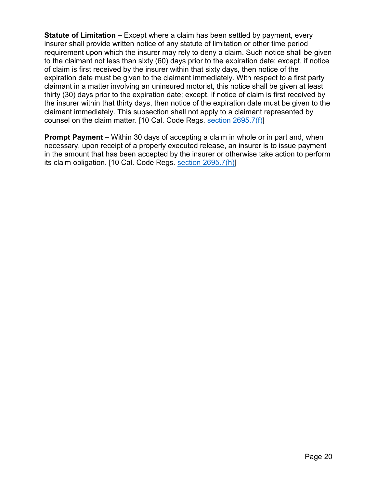**Statute of Limitation –** Except where a claim has been settled by payment, every insurer shall provide written notice of any statute of limitation or other time period requirement upon which the insurer may rely to deny a claim. Such notice shall be given to the claimant not less than sixty (60) days prior to the expiration date; except, if notice of claim is first received by the insurer within that sixty days, then notice of the expiration date must be given to the claimant immediately. With respect to a first party claimant in a matter involving an uninsured motorist, this notice shall be given at least thirty (30) days prior to the expiration date; except, if notice of claim is first received by the insurer within that thirty days, then notice of the expiration date must be given to the claimant immediately. This subsection shall not apply to a claimant represented by counsel on the claim matter. [10 Cal. Code Regs. [section 2695.7\(f\)\]](https://govt.westlaw.com/calregs/Document/IC03B7790D49211DEBC02831C6D6C108E?viewType=FullText&listSource=Search&originationContext=Search+Result&transitionType=SearchItem&contextData=(sc.Search)&navigationPath=Search%2fv1%2fresults%2fnavigation%2fi0ad720f10000016f145b8dbd155da944%3fNav%3dREGULATION_PUBLICVIEW%26fragmentIdentifier%3dIC03B7790D49211DEBC02831C6D6C108E%26startIndex%3d1%26transitionType%3dSearchItem%26contextData%3d%2528sc.Default%2529%26originationContext%3dSearch%2520Result&list=REGULATION_PUBLICVIEW&rank=1&t_T1=10&t_T2=2695.7&t_S1=CA+ADC+s)

**Prompt Payment –** Within 30 days of accepting a claim in whole or in part and, when necessary, upon receipt of a properly executed release, an insurer is to issue payment in the amount that has been accepted by the insurer or otherwise take action to perform its claim obligation. [10 Cal. Code Regs. [section 2695.7\(h\)\]](https://govt.westlaw.com/calregs/Document/IC03B7790D49211DEBC02831C6D6C108E?viewType=FullText&listSource=Search&originationContext=Search+Result&transitionType=SearchItem&contextData=(sc.Search)&navigationPath=Search%2fv1%2fresults%2fnavigation%2fi0ad720f20000016f146dad79fbb02e09%3fNav%3dREGULATION_PUBLICVIEW%26fragmentIdentifier%3dIC03B7790D49211DEBC02831C6D6C108E%26startIndex%3d1%26transitionType%3dSearchItem%26contextData%3d%2528sc.Default%2529%26originationContext%3dSearch%2520Result&list=REGULATION_PUBLICVIEW&rank=1&t_T1=10&t_T2=2695.7&t_S1=CA+ADC+s)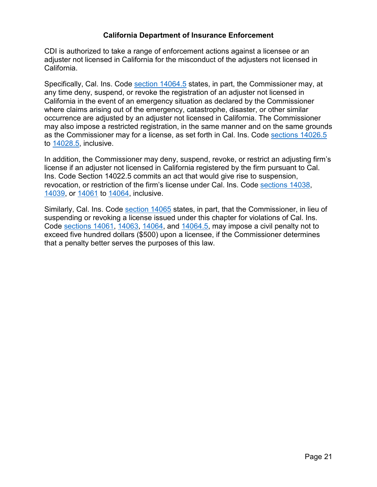#### **California Department of Insurance Enforcement**

CDI is authorized to take a range of enforcement actions against a licensee or an adjuster not licensed in California for the misconduct of the adjusters not licensed in California.

Specifically, Cal. Ins. Code [section 14064.5](https://leginfo.legislature.ca.gov/faces/codes_displaySection.xhtml?lawCode=INS§ionNum=14064.5.) states, in part, the Commissioner may, at any time deny, suspend, or revoke the registration of an adjuster not licensed in California in the event of an emergency situation as declared by the Commissioner where claims arising out of the emergency, catastrophe, disaster, or other similar occurrence are adjusted by an adjuster not licensed in California. The Commissioner may also impose a restricted registration, in the same manner and on the same grounds as the Commissioner may for a license, as set forth in Cal. Ins. Code [sections 14026.5](https://leginfo.legislature.ca.gov/faces/codes_displaySection.xhtml?lawCode=INS§ionNum=14026.5.) to [14028.5,](https://leginfo.legislature.ca.gov/faces/codes_displaySection.xhtml?lawCode=INS§ionNum=14028.5.) inclusive.

In addition, the Commissioner may deny, suspend, revoke, or restrict an adjusting firm's license if an adjuster not licensed in California registered by the firm pursuant to Cal. Ins. Code Section 14022.5 commits an act that would give rise to suspension, revocation, or restriction of the firm's license under Cal. Ins. Code [sections 14038,](https://leginfo.legislature.ca.gov/faces/codes_displaySection.xhtml?lawCode=INS§ionNum=14038.) [14039,](https://leginfo.legislature.ca.gov/faces/codes_displaySection.xhtml?lawCode=INS§ionNum=14039.) or [14061](https://leginfo.legislature.ca.gov/faces/codes_displaySection.xhtml?lawCode=INS§ionNum=14061.) to [14064,](https://leginfo.legislature.ca.gov/faces/codes_displaySection.xhtml?lawCode=INS§ionNum=14064.5.) inclusive.

Similarly, Cal. Ins. Code [section 14065](http://leginfo.legislature.ca.gov/faces/codes_displaySection.xhtml?lawCode=INS§ionNum=14065.) states, in part, that the Commissioner, in lieu of suspending or revoking a license issued under this chapter for violations of Cal. Ins. Code [sections 14061,](http://leginfo.legislature.ca.gov/faces/codes_displaySection.xhtml?lawCode=INS§ionNum=14061.) [14063,](http://leginfo.legislature.ca.gov/faces/codes_displaySection.xhtml?lawCode=INS§ionNum=14063.) [14064,](http://leginfo.legislature.ca.gov/faces/codes_displaySection.xhtml?lawCode=INS§ionNum=14064.) and [14064.5,](http://leginfo.legislature.ca.gov/faces/codes_displaySection.xhtml?lawCode=INS§ionNum=14064.5.) may impose a civil penalty not to exceed five hundred dollars (\$500) upon a licensee, if the Commissioner determines that a penalty better serves the purposes of this law.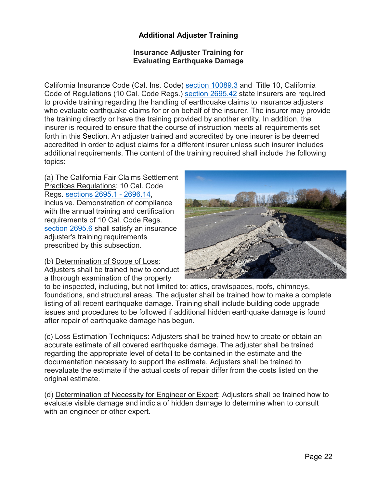## **Additional Adjuster Training**

#### **Insurance Adjuster Training for Evaluating Earthquake Damage**

California Insurance Code (Cal. Ins. Code) [section 10089.3](http://leginfo.legislature.ca.gov/faces/codes_displaySection.xhtml?lawCode=INS§ionNum=10089.3.) and Title 10, California Code of Regulations (10 Cal. Code Regs.) [section 2695.42](https://govt.westlaw.com/calregs/Document/IC93019A0D49211DEBC02831C6D6C108E?viewType=FullText&listSource=Search&originationContext=Search+Result&transitionType=SearchItem&contextData=(sc.Search)&navigationPath=Search%2fv1%2fresults%2fnavigation%2fi0ad7140a0000016f57bd29a0df73d3af%3fNav%3dREGULATION_PUBLICVIEW%26fragmentIdentifier%3dIC93019A0D49211DEBC02831C6D6C108E%26startIndex%3d1%26transitionType%3dSearchItem%26contextData%3d%2528sc.Default%2529%26originationContext%3dSearch%2520Result&list=REGULATION_PUBLICVIEW&rank=1&t_T1=10&t_T2=2695.42&t_S1=CA+ADC+s) state insurers are required to provide training regarding the handling of earthquake claims to insurance adjusters who evaluate earthquake claims for or on behalf of the insurer. The insurer may provide the training directly or have the training provided by another entity. In addition, the insurer is required to ensure that the course of instruction meets all requirements set forth in this Section. An adjuster trained and accredited by one insurer is be deemed accredited in order to adjust claims for a different insurer unless such insurer includes additional requirements. The content of the training required shall include the following topics:

(a) The California Fair Claims Settlement Practices Regulations: 10 Cal. Code Regs. [sections 2695.1 - 2696.14,](http://www.insurance.ca.gov/01-consumers/130-laws-regs-hearings/05-CCR/fair-claims-regs.cfm) inclusive. Demonstration of compliance with the annual training and certification requirements of 10 Cal. Code Regs. [section 2695.6](http://www.insurance.ca.gov/01-consumers/130-laws-regs-hearings/05-CCR/fair-claims-regs.cfm#certification) shall satisfy an insurance adjuster's training requirements prescribed by this subsection.

(b) Determination of Scope of Loss: Adjusters shall be trained how to conduct a thorough examination of the property



to be inspected, including, but not limited to: attics, crawlspaces, roofs, chimneys, foundations, and structural areas. The adjuster shall be trained how to make a complete listing of all recent earthquake damage. Training shall include building code upgrade issues and procedures to be followed if additional hidden earthquake damage is found after repair of earthquake damage has begun.

(c) Loss Estimation Techniques: Adjusters shall be trained how to create or obtain an accurate estimate of all covered earthquake damage. The adjuster shall be trained regarding the appropriate level of detail to be contained in the estimate and the documentation necessary to support the estimate. Adjusters shall be trained to reevaluate the estimate if the actual costs of repair differ from the costs listed on the original estimate.

(d) Determination of Necessity for Engineer or Expert: Adjusters shall be trained how to evaluate visible damage and indicia of hidden damage to determine when to consult with an engineer or other expert.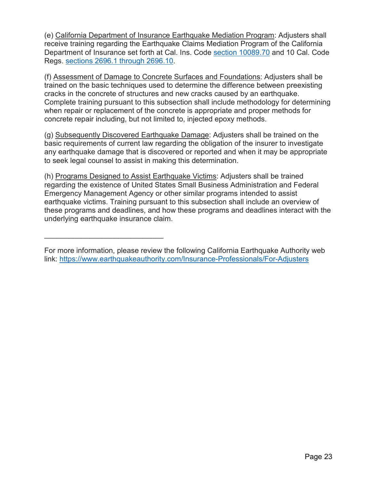(e) California Department of Insurance Earthquake Mediation Program: Adjusters shall receive training regarding the Earthquake Claims Mediation Program of the California Department of Insurance set forth at Cal. Ins. Code [section 10089.70](http://leginfo.legislature.ca.gov/faces/codes_displaySection.xhtml?lawCode=INS§ionNum=10089.70.) and 10 Cal. Code Regs. sections 2696.1 [through 2696.10.](https://govt.westlaw.com/calregs/Search/Results?transitionType=Default&contextData=%28sc.Default%29&t_T1=10&t_T2=2696&t_S1=CA%20ADC%20s&Page=1&SearchId=i0ad7140b0000016f57c902ae5a0af213&query=advanced%3A%20CI%28%2210%20CA%20ADC%20s%202696%22%29&Template=Find)

(f) Assessment of Damage to Concrete Surfaces and Foundations: Adjusters shall be trained on the basic techniques used to determine the difference between preexisting cracks in the concrete of structures and new cracks caused by an earthquake. Complete training pursuant to this subsection shall include methodology for determining when repair or replacement of the concrete is appropriate and proper methods for concrete repair including, but not limited to, injected epoxy methods.

(g) Subsequently Discovered Earthquake Damage: Adjusters shall be trained on the basic requirements of current law regarding the obligation of the insurer to investigate any earthquake damage that is discovered or reported and when it may be appropriate to seek legal counsel to assist in making this determination.

(h) Programs Designed to Assist Earthquake Victims: Adjusters shall be trained regarding the existence of United States Small Business Administration and Federal Emergency Management Agency or other similar programs intended to assist earthquake victims. Training pursuant to this subsection shall include an overview of these programs and deadlines, and how these programs and deadlines interact with the underlying earthquake insurance claim.

\_\_\_\_\_\_\_\_\_\_\_\_\_\_\_\_\_\_\_\_\_\_\_\_\_\_\_\_\_

For more information, please review the following California Earthquake Authority web link:<https://www.earthquakeauthority.com/Insurance-Professionals/For-Adjusters>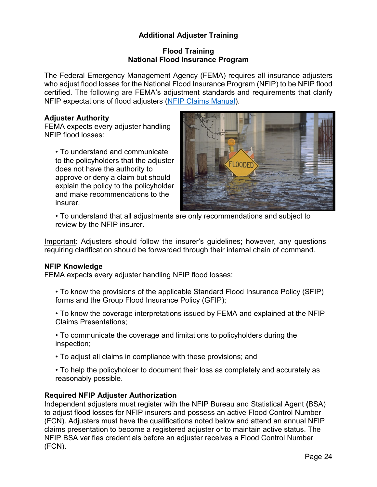## **Additional Adjuster Training**

#### **Flood Training National Flood Insurance Program**

The Federal Emergency Management Agency (FEMA) requires all insurance adjusters who adjust flood losses for the National Flood Insurance Program (NFIP) to be NFIP flood certified. The following are FEMA's adjustment standards and requirements that clarify NFIP expectations of flood adjusters [\(NFIP Claims Manual\)](https://www.fema.gov/sites/default/files/2020-07/fema_nfip_claims-manual_2020.pdf).

#### **Adjuster Authority**

FEMA expects every adjuster handling NFIP flood losses:

• To understand and communicate to the policyholders that the adjuster does not have the authority to approve or deny a claim but should explain the policy to the policyholder and make recommendations to the insurer.



• To understand that all adjustments are only recommendations and subject to review by the NFIP insurer.

Important: Adjusters should follow the insurer's guidelines; however, any questions requiring clarification should be forwarded through their internal chain of command.

#### **NFIP Knowledge**

FEMA expects every adjuster handling NFIP flood losses:

• To know the provisions of the applicable Standard Flood Insurance Policy (SFIP) forms and the Group Flood Insurance Policy (GFIP);

• To know the coverage interpretations issued by FEMA and explained at the NFIP Claims Presentations;

• To communicate the coverage and limitations to policyholders during the inspection;

• To adjust all claims in compliance with these provisions; and

• To help the policyholder to document their loss as completely and accurately as reasonably possible.

#### **Required NFIP Adjuster Authorization**

Independent adjusters must register with the NFIP Bureau and Statistical Agent **(**BSA) to adjust flood losses for NFIP insurers and possess an active Flood Control Number (FCN). Adjusters must have the qualifications noted below and attend an annual NFIP claims presentation to become a registered adjuster or to maintain active status. The NFIP BSA verifies credentials before an adjuster receives a Flood Control Number (FCN).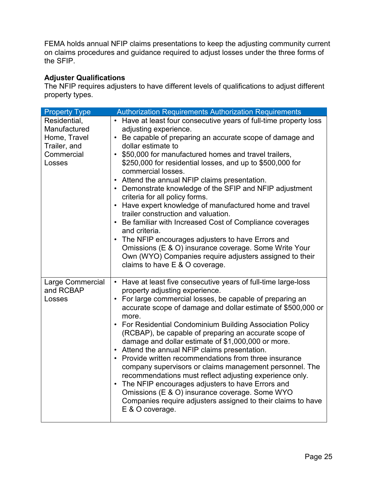FEMA holds annual NFIP claims presentations to keep the adjusting community current on claims procedures and guidance required to adjust losses under the three forms of the SFIP.

## **Adjuster Qualifications**

The NFIP requires adjusters to have different levels of qualifications to adjust different property types.

| <b>Authorization Requirements Authorization Requirements</b><br><b>Property Type</b> |                                                                                                        |  |
|--------------------------------------------------------------------------------------|--------------------------------------------------------------------------------------------------------|--|
| Residential,                                                                         | • Have at least four consecutive years of full-time property loss                                      |  |
| Manufactured                                                                         | adjusting experience.                                                                                  |  |
| Home, Travel                                                                         | • Be capable of preparing an accurate scope of damage and                                              |  |
| Trailer, and                                                                         | dollar estimate to                                                                                     |  |
| Commercial                                                                           | \$50,000 for manufactured homes and travel trailers,<br>$\bullet$                                      |  |
| Losses                                                                               | \$250,000 for residential losses, and up to \$500,000 for                                              |  |
|                                                                                      | commercial losses.<br>$\bullet$                                                                        |  |
|                                                                                      | Attend the annual NFIP claims presentation.<br>• Demonstrate knowledge of the SFIP and NFIP adjustment |  |
|                                                                                      | criteria for all policy forms.                                                                         |  |
|                                                                                      | Have expert knowledge of manufactured home and travel<br>$\bullet$                                     |  |
|                                                                                      | trailer construction and valuation.                                                                    |  |
|                                                                                      | Be familiar with Increased Cost of Compliance coverages<br>٠<br>and criteria.                          |  |
|                                                                                      | • The NFIP encourages adjusters to have Errors and                                                     |  |
|                                                                                      | Omissions (E & O) insurance coverage. Some Write Your                                                  |  |
|                                                                                      | Own (WYO) Companies require adjusters assigned to their                                                |  |
|                                                                                      | claims to have $E \& O$ coverage.                                                                      |  |
| Large Commercial                                                                     | • Have at least five consecutive years of full-time large-loss                                         |  |
| and RCBAP                                                                            | property adjusting experience.                                                                         |  |
| Losses                                                                               | • For large commercial losses, be capable of preparing an                                              |  |
|                                                                                      | accurate scope of damage and dollar estimate of \$500,000 or<br>more.                                  |  |
|                                                                                      | • For Residential Condominium Building Association Policy                                              |  |
|                                                                                      | (RCBAP), be capable of preparing an accurate scope of                                                  |  |
|                                                                                      | damage and dollar estimate of \$1,000,000 or more.                                                     |  |
|                                                                                      | • Attend the annual NFIP claims presentation.                                                          |  |
|                                                                                      | • Provide written recommendations from three insurance                                                 |  |
|                                                                                      | company supervisors or claims management personnel. The                                                |  |
|                                                                                      | recommendations must reflect adjusting experience only.                                                |  |
|                                                                                      | The NFIP encourages adjusters to have Errors and<br>$\bullet$                                          |  |
|                                                                                      | Omissions (E & O) insurance coverage. Some WYO                                                         |  |
|                                                                                      | Companies require adjusters assigned to their claims to have                                           |  |
|                                                                                      | E & O coverage.                                                                                        |  |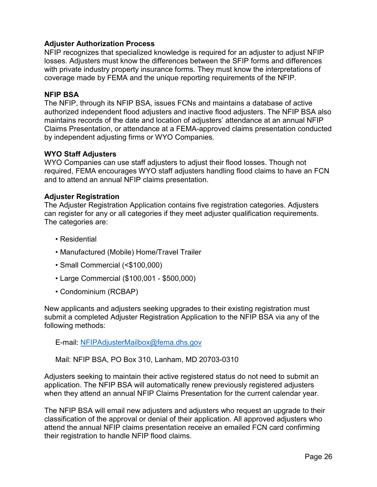#### **Adjuster Authorization Process**

NFIP recognizes that specialized knowledge is required for an adjuster to adjust NFIP losses. Adjusters must know the differences between the SFIP forms and differences with private industry property insurance forms. They must know the interpretations of coverage made by FEMA and the unique reporting requirements of the NFIP.

#### **NFIP BSA**

The NFIP, through its NFIP BSA, issues FCNs and maintains a database of active authorized independent flood adjusters and inactive flood adjusters. The NFIP BSA also maintains records of the date and location of adjusters' attendance at an annual NFIP Claims Presentation, or attendance at a FEMA-approved claims presentation conducted by independent adjusting firms or WYO Companies.

#### **WYO Staff Adjusters**

WYO Companies can use staff adjusters to adjust their flood losses. Though not required, FEMA encourages WYO staff adjusters handling flood claims to have an FCN and to attend an annual NFIP claims presentation.

#### **Adjuster Registration**

The Adjuster Registration Application contains five registration categories. Adjusters can register for any or all categories if they meet adjuster qualification requirements. The categories are:

- Residential
- Manufactured (Mobile) Home/Travel Trailer
- Small Commercial (<\$100,000)
- Large Commercial (\$100,001 \$500,000)
- Condominium (RCBAP)

New applicants and adjusters seeking upgrades to their existing registration must submit a completed Adjuster Registration Application to the NFIP BSA via any of the following methods:

E-mail: [NFIPAdjusterMailbox@fema.dhs.gov](mailto:NFIPAdjusterMailbox@fema.dhs.gov)

Mail: NFIP BSA, PO Box 310, Lanham, MD 20703-0310

Adjusters seeking to maintain their active registered status do not need to submit an application. The NFIP BSA will automatically renew previously registered adjusters when they attend an annual NFIP Claims Presentation for the current calendar year.

The NFIP BSA will email new adjusters and adjusters who request an upgrade to their classification of the approval or denial of their application. All approved adjusters who attend the annual NFIP claims presentation receive an emailed FCN card confirming their registration to handle NFIP flood claims.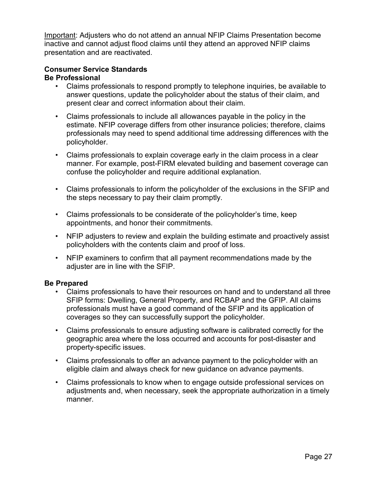Important: Adjusters who do not attend an annual NFIP Claims Presentation become inactive and cannot adjust flood claims until they attend an approved NFIP claims presentation and are reactivated.

## **Consumer Service Standards Be Professional**

- Claims professionals to respond promptly to telephone inquiries, be available to answer questions, update the policyholder about the status of their claim, and present clear and correct information about their claim.
- Claims professionals to include all allowances payable in the policy in the estimate. NFIP coverage differs from other insurance policies; therefore, claims professionals may need to spend additional time addressing differences with the policyholder.
- Claims professionals to explain coverage early in the claim process in a clear manner. For example, post-FIRM elevated building and basement coverage can confuse the policyholder and require additional explanation.
- Claims professionals to inform the policyholder of the exclusions in the SFIP and the steps necessary to pay their claim promptly.
- Claims professionals to be considerate of the policyholder's time, keep appointments, and honor their commitments.
- NFIP adjusters to review and explain the building estimate and proactively assist policyholders with the contents claim and proof of loss.
- NFIP examiners to confirm that all payment recommendations made by the adjuster are in line with the SFIP.

## **Be Prepared**

- Claims professionals to have their resources on hand and to understand all three SFIP forms: Dwelling, General Property, and RCBAP and the GFIP. All claims professionals must have a good command of the SFIP and its application of coverages so they can successfully support the policyholder.
- Claims professionals to ensure adjusting software is calibrated correctly for the geographic area where the loss occurred and accounts for post-disaster and property-specific issues.
- Claims professionals to offer an advance payment to the policyholder with an eligible claim and always check for new guidance on advance payments.
- Claims professionals to know when to engage outside professional services on adjustments and, when necessary, seek the appropriate authorization in a timely manner.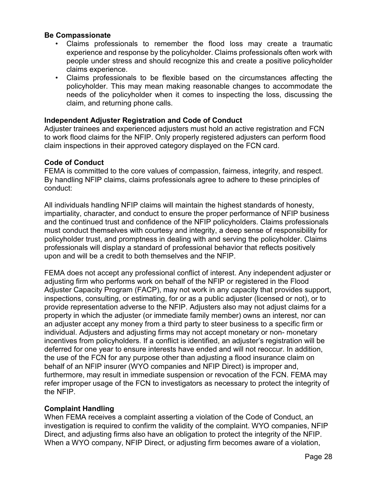#### **Be Compassionate**

- Claims professionals to remember the flood loss may create a traumatic experience and response by the policyholder. Claims professionals often work with people under stress and should recognize this and create a positive policyholder claims experience.
- Claims professionals to be flexible based on the circumstances affecting the policyholder. This may mean making reasonable changes to accommodate the needs of the policyholder when it comes to inspecting the loss, discussing the claim, and returning phone calls.

#### **Independent Adjuster Registration and Code of Conduct**

Adjuster trainees and experienced adjusters must hold an active registration and FCN to work flood claims for the NFIP. Only properly registered adjusters can perform flood claim inspections in their approved category displayed on the FCN card.

#### **Code of Conduct**

FEMA is committed to the core values of compassion, fairness, integrity, and respect. By handling NFIP claims, claims professionals agree to adhere to these principles of conduct:

All individuals handling NFIP claims will maintain the highest standards of honesty, impartiality, character, and conduct to ensure the proper performance of NFIP business and the continued trust and confidence of the NFIP policyholders. Claims professionals must conduct themselves with courtesy and integrity, a deep sense of responsibility for policyholder trust, and promptness in dealing with and serving the policyholder. Claims professionals will display a standard of professional behavior that reflects positively upon and will be a credit to both themselves and the NFIP.

FEMA does not accept any professional conflict of interest. Any independent adjuster or adjusting firm who performs work on behalf of the NFIP or registered in the Flood Adjuster Capacity Program (FACP), may not work in any capacity that provides support, inspections, consulting, or estimating, for or as a public adjuster (licensed or not), or to provide representation adverse to the NFIP. Adjusters also may not adjust claims for a property in which the adjuster (or immediate family member) owns an interest, nor can an adjuster accept any money from a third party to steer business to a specific firm or individual. Adjusters and adjusting firms may not accept monetary or non- monetary incentives from policyholders. If a conflict is identified, an adjuster's registration will be deferred for one year to ensure interests have ended and will not reoccur. In addition, the use of the FCN for any purpose other than adjusting a flood insurance claim on behalf of an NFIP insurer (WYO companies and NFIP Direct) is improper and, furthermore, may result in immediate suspension or revocation of the FCN. FEMA may refer improper usage of the FCN to investigators as necessary to protect the integrity of the NFIP.

#### **Complaint Handling**

When FEMA receives a complaint asserting a violation of the Code of Conduct, an investigation is required to confirm the validity of the complaint. WYO companies, NFIP Direct, and adjusting firms also have an obligation to protect the integrity of the NFIP. When a WYO company, NFIP Direct, or adjusting firm becomes aware of a violation,